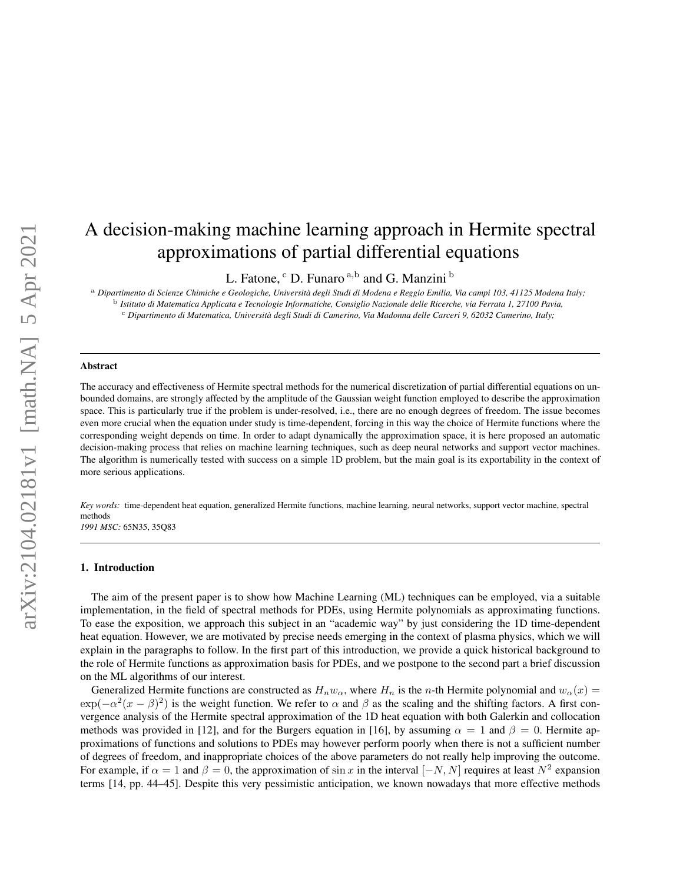# A decision-making machine learning approach in Hermite spectral approximations of partial differential equations

L. Fatone,  $\rm^c$  D. Funaro  $\rm^{a,b}$  and G. Manzini  $\rm^b$ 

<sup>a</sup> *Dipartimento di Scienze Chimiche e Geologiche, Universita degli Studi di Modena e Reggio Emilia, Via campi 103, 41125 Modena Italy; `* <sup>b</sup> *Istituto di Matematica Applicata e Tecnologie Informatiche, Consiglio Nazionale delle Ricerche, via Ferrata 1, 27100 Pavia,* <sup>c</sup> *Dipartimento di Matematica, Universita degli Studi di Camerino, Via Madonna delle Carceri 9, 62032 Camerino, Italy; `*

#### Abstract

The accuracy and effectiveness of Hermite spectral methods for the numerical discretization of partial differential equations on unbounded domains, are strongly affected by the amplitude of the Gaussian weight function employed to describe the approximation space. This is particularly true if the problem is under-resolved, i.e., there are no enough degrees of freedom. The issue becomes even more crucial when the equation under study is time-dependent, forcing in this way the choice of Hermite functions where the corresponding weight depends on time. In order to adapt dynamically the approximation space, it is here proposed an automatic decision-making process that relies on machine learning techniques, such as deep neural networks and support vector machines. The algorithm is numerically tested with success on a simple 1D problem, but the main goal is its exportability in the context of more serious applications.

*Key words:* time-dependent heat equation, generalized Hermite functions, machine learning, neural networks, support vector machine, spectral methods *1991 MSC:* 65N35, 35Q83

#### 1. Introduction

The aim of the present paper is to show how Machine Learning (ML) techniques can be employed, via a suitable implementation, in the field of spectral methods for PDEs, using Hermite polynomials as approximating functions. To ease the exposition, we approach this subject in an "academic way" by just considering the 1D time-dependent heat equation. However, we are motivated by precise needs emerging in the context of plasma physics, which we will explain in the paragraphs to follow. In the first part of this introduction, we provide a quick historical background to the role of Hermite functions as approximation basis for PDEs, and we postpone to the second part a brief discussion on the ML algorithms of our interest.

Generalized Hermite functions are constructed as  $H_n w_\alpha$ , where  $H_n$  is the *n*-th Hermite polynomial and  $w_\alpha(x)$  $\exp(-\alpha^2(x-\beta)^2)$  is the weight function. We refer to  $\alpha$  and  $\beta$  as the scaling and the shifting factors. A first convergence analysis of the Hermite spectral approximation of the 1D heat equation with both Galerkin and collocation methods was provided in [12], and for the Burgers equation in [16], by assuming  $\alpha = 1$  and  $\beta = 0$ . Hermite approximations of functions and solutions to PDEs may however perform poorly when there is not a sufficient number of degrees of freedom, and inappropriate choices of the above parameters do not really help improving the outcome. For example, if  $\alpha = 1$  and  $\beta = 0$ , the approximation of sin x in the interval  $[-N, N]$  requires at least  $N^2$  expansion terms [14, pp. 44–45]. Despite this very pessimistic anticipation, we known nowadays that more effective methods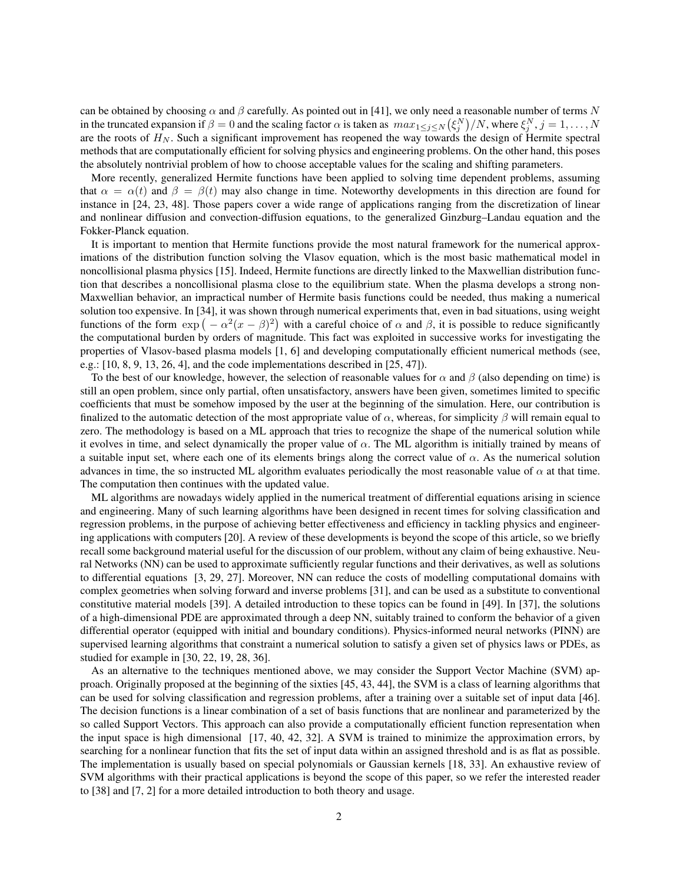can be obtained by choosing  $\alpha$  and  $\beta$  carefully. As pointed out in [41], we only need a reasonable number of terms N in the truncated expansion if  $\beta = 0$  and the scaling factor  $\alpha$  is taken as  $max_{1 \le j \le N} (\xi_j^N)/N$ , where  $\xi_j^N$ ,  $j = 1, ..., N$ are the roots of  $H_N$ . Such a significant improvement has reopened the way towards the design of Hermite spectral methods that are computationally efficient for solving physics and engineering problems. On the other hand, this poses the absolutely nontrivial problem of how to choose acceptable values for the scaling and shifting parameters.

More recently, generalized Hermite functions have been applied to solving time dependent problems, assuming that  $\alpha = \alpha(t)$  and  $\beta = \beta(t)$  may also change in time. Noteworthy developments in this direction are found for instance in [24, 23, 48]. Those papers cover a wide range of applications ranging from the discretization of linear and nonlinear diffusion and convection-diffusion equations, to the generalized Ginzburg–Landau equation and the Fokker-Planck equation.

It is important to mention that Hermite functions provide the most natural framework for the numerical approximations of the distribution function solving the Vlasov equation, which is the most basic mathematical model in noncollisional plasma physics [15]. Indeed, Hermite functions are directly linked to the Maxwellian distribution function that describes a noncollisional plasma close to the equilibrium state. When the plasma develops a strong non-Maxwellian behavior, an impractical number of Hermite basis functions could be needed, thus making a numerical solution too expensive. In [34], it was shown through numerical experiments that, even in bad situations, using weight functions of the form  $\exp(-\alpha^2(x-\beta)^2)$  with a careful choice of  $\alpha$  and  $\beta$ , it is possible to reduce significantly the computational burden by orders of magnitude. This fact was exploited in successive works for investigating the properties of Vlasov-based plasma models [1, 6] and developing computationally efficient numerical methods (see, e.g.:  $[10, 8, 9, 13, 26, 4]$ , and the code implementations described in  $[25, 47]$ .

To the best of our knowledge, however, the selection of reasonable values for  $\alpha$  and  $\beta$  (also depending on time) is still an open problem, since only partial, often unsatisfactory, answers have been given, sometimes limited to specific coefficients that must be somehow imposed by the user at the beginning of the simulation. Here, our contribution is finalized to the automatic detection of the most appropriate value of  $\alpha$ , whereas, for simplicity  $\beta$  will remain equal to zero. The methodology is based on a ML approach that tries to recognize the shape of the numerical solution while it evolves in time, and select dynamically the proper value of  $\alpha$ . The ML algorithm is initially trained by means of a suitable input set, where each one of its elements brings along the correct value of  $\alpha$ . As the numerical solution advances in time, the so instructed ML algorithm evaluates periodically the most reasonable value of  $\alpha$  at that time. The computation then continues with the updated value.

ML algorithms are nowadays widely applied in the numerical treatment of differential equations arising in science and engineering. Many of such learning algorithms have been designed in recent times for solving classification and regression problems, in the purpose of achieving better effectiveness and efficiency in tackling physics and engineering applications with computers [20]. A review of these developments is beyond the scope of this article, so we briefly recall some background material useful for the discussion of our problem, without any claim of being exhaustive. Neural Networks (NN) can be used to approximate sufficiently regular functions and their derivatives, as well as solutions to differential equations [3, 29, 27]. Moreover, NN can reduce the costs of modelling computational domains with complex geometries when solving forward and inverse problems [31], and can be used as a substitute to conventional constitutive material models [39]. A detailed introduction to these topics can be found in [49]. In [37], the solutions of a high-dimensional PDE are approximated through a deep NN, suitably trained to conform the behavior of a given differential operator (equipped with initial and boundary conditions). Physics-informed neural networks (PINN) are supervised learning algorithms that constraint a numerical solution to satisfy a given set of physics laws or PDEs, as studied for example in [30, 22, 19, 28, 36].

As an alternative to the techniques mentioned above, we may consider the Support Vector Machine (SVM) approach. Originally proposed at the beginning of the sixties [45, 43, 44], the SVM is a class of learning algorithms that can be used for solving classification and regression problems, after a training over a suitable set of input data [46]. The decision functions is a linear combination of a set of basis functions that are nonlinear and parameterized by the so called Support Vectors. This approach can also provide a computationally efficient function representation when the input space is high dimensional [17, 40, 42, 32]. A SVM is trained to minimize the approximation errors, by searching for a nonlinear function that fits the set of input data within an assigned threshold and is as flat as possible. The implementation is usually based on special polynomials or Gaussian kernels [18, 33]. An exhaustive review of SVM algorithms with their practical applications is beyond the scope of this paper, so we refer the interested reader to [38] and [7, 2] for a more detailed introduction to both theory and usage.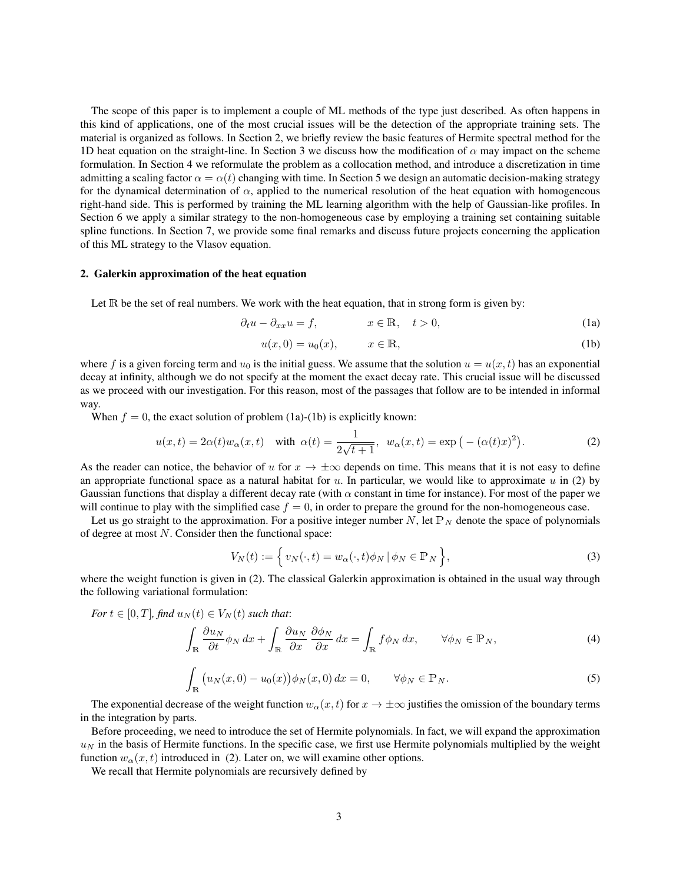The scope of this paper is to implement a couple of ML methods of the type just described. As often happens in this kind of applications, one of the most crucial issues will be the detection of the appropriate training sets. The material is organized as follows. In Section 2, we briefly review the basic features of Hermite spectral method for the 1D heat equation on the straight-line. In Section 3 we discuss how the modification of  $\alpha$  may impact on the scheme formulation. In Section 4 we reformulate the problem as a collocation method, and introduce a discretization in time admitting a scaling factor  $\alpha = \alpha(t)$  changing with time. In Section 5 we design an automatic decision-making strategy for the dynamical determination of  $\alpha$ , applied to the numerical resolution of the heat equation with homogeneous right-hand side. This is performed by training the ML learning algorithm with the help of Gaussian-like profiles. In Section 6 we apply a similar strategy to the non-homogeneous case by employing a training set containing suitable spline functions. In Section 7, we provide some final remarks and discuss future projects concerning the application of this ML strategy to the Vlasov equation.

## 2. Galerkin approximation of the heat equation

Let  $\mathbb R$  be the set of real numbers. We work with the heat equation, that in strong form is given by:

$$
\partial_t u - \partial_{xx} u = f, \qquad x \in \mathbb{R}, \quad t > 0,
$$
\n(1a)

$$
u(x,0) = u_0(x), \qquad x \in \mathbb{R}, \tag{1b}
$$

where f is a given forcing term and  $u_0$  is the initial guess. We assume that the solution  $u = u(x, t)$  has an exponential decay at infinity, although we do not specify at the moment the exact decay rate. This crucial issue will be discussed as we proceed with our investigation. For this reason, most of the passages that follow are to be intended in informal way.

When  $f = 0$ , the exact solution of problem (1a)-(1b) is explicitly known:

$$
u(x,t) = 2\alpha(t)w_{\alpha}(x,t) \quad \text{with } \alpha(t) = \frac{1}{2\sqrt{t+1}}, \ w_{\alpha}(x,t) = \exp\left(-(\alpha(t)x)^2\right). \tag{2}
$$

As the reader can notice, the behavior of u for  $x \to \pm \infty$  depends on time. This means that it is not easy to define an appropriate functional space as a natural habitat for  $u$ . In particular, we would like to approximate  $u$  in (2) by Gaussian functions that display a different decay rate (with  $\alpha$  constant in time for instance). For most of the paper we will continue to play with the simplified case  $f = 0$ , in order to prepare the ground for the non-homogeneous case.

Let us go straight to the approximation. For a positive integer number N, let  $\mathbb{P}_N$  denote the space of polynomials of degree at most N. Consider then the functional space:

$$
V_N(t) := \left\{ v_N(\cdot, t) = w_\alpha(\cdot, t)\phi_N \mid \phi_N \in \mathbb{P}_N \right\},\tag{3}
$$

where the weight function is given in (2). The classical Galerkin approximation is obtained in the usual way through the following variational formulation:

$$
For \ t \in [0, T], find \ u_N(t) \in V_N(t) \ such \ that:
$$
\n
$$
\int_{\mathbb{R}} \frac{\partial u_N}{\partial t} \phi_N \, dx + \int_{\mathbb{R}} \frac{\partial u_N}{\partial x} \frac{\partial \phi_N}{\partial x} \, dx = \int_{\mathbb{R}} f \phi_N \, dx, \qquad \forall \phi_N \in \mathbb{P}_N,
$$
\n(4)

$$
\int_{\mathbb{R}} \left( u_N(x,0) - u_0(x) \right) \phi_N(x,0) \, dx = 0, \qquad \forall \phi_N \in \mathbb{P}_N. \tag{5}
$$

The exponential decrease of the weight function  $w_\alpha(x, t)$  for  $x \to \pm \infty$  justifies the omission of the boundary terms in the integration by parts.

Before proceeding, we need to introduce the set of Hermite polynomials. In fact, we will expand the approximation  $u_N$  in the basis of Hermite functions. In the specific case, we first use Hermite polynomials multiplied by the weight function  $w_\alpha(x, t)$  introduced in (2). Later on, we will examine other options.

We recall that Hermite polynomials are recursively defined by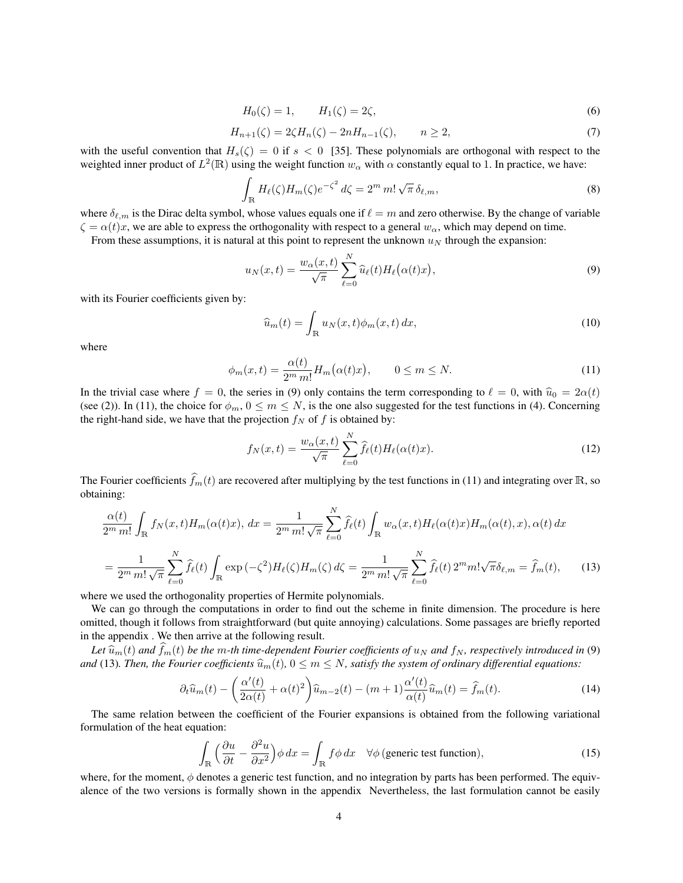$$
H_0(\zeta) = 1, \qquad H_1(\zeta) = 2\zeta,\tag{6}
$$

$$
H_{n+1}(\zeta) = 2\zeta H_n(\zeta) - 2nH_{n-1}(\zeta), \qquad n \ge 2,
$$
\n(7)

with the useful convention that  $H_s(\zeta) = 0$  if  $s < 0$  [35]. These polynomials are orthogonal with respect to the weighted inner product of  $L^2(\mathbb{R})$  using the weight function  $w_\alpha$  with  $\alpha$  constantly equal to 1. In practice, we have:

$$
\int_{\mathbb{R}} H_{\ell}(\zeta) H_m(\zeta) e^{-\zeta^2} d\zeta = 2^m m! \sqrt{\pi} \, \delta_{\ell,m},\tag{8}
$$

where  $\delta_{\ell,m}$  is the Dirac delta symbol, whose values equals one if  $\ell = m$  and zero otherwise. By the change of variable  $\zeta = \alpha(t)x$ , we are able to express the orthogonality with respect to a general  $w_{\alpha}$ , which may depend on time.

From these assumptions, it is natural at this point to represent the unknown  $u_N$  through the expansion:

$$
u_N(x,t) = \frac{w_\alpha(x,t)}{\sqrt{\pi}} \sum_{\ell=0}^N \widehat{u}_\ell(t) H_\ell(\alpha(t)x), \qquad (9)
$$

with its Fourier coefficients given by:

$$
\widehat{u}_m(t) = \int_{\mathbb{R}} u_N(x, t) \phi_m(x, t) dx,
$$
\n(10)

where

$$
\phi_m(x,t) = \frac{\alpha(t)}{2^m m!} H_m(\alpha(t)x), \qquad 0 \le m \le N. \tag{11}
$$

In the trivial case where  $f = 0$ , the series in (9) only contains the term corresponding to  $\ell = 0$ , with  $\hat{u}_0 = 2\alpha(t)$ (see (2)). In (11), the choice for  $\phi_m$ ,  $0 \le m \le N$ , is the one also suggested for the test functions in (4). Concerning the right-hand side, we have that the projection  $f_N$  of f is obtained by:

$$
f_N(x,t) = \frac{w_\alpha(x,t)}{\sqrt{\pi}} \sum_{\ell=0}^N \widehat{f}_{\ell}(t) H_{\ell}(\alpha(t)x).
$$
 (12)

The Fourier coefficients  $\widehat{f}_m(t)$  are recovered after multiplying by the test functions in (11) and integrating over R, so obtaining:

$$
\frac{\alpha(t)}{2^m m!} \int_{\mathbb{R}} f_N(x, t) H_m(\alpha(t)x), dx = \frac{1}{2^m m! \sqrt{\pi}} \sum_{\ell=0}^N \widehat{f}_{\ell}(t) \int_{\mathbb{R}} w_{\alpha}(x, t) H_{\ell}(\alpha(t)x) H_m(\alpha(t), x), \alpha(t) dx
$$

$$
= \frac{1}{2^m m! \sqrt{\pi}} \sum_{\ell=0}^N \widehat{f}_{\ell}(t) \int_{\mathbb{R}} \exp(-\zeta^2) H_{\ell}(\zeta) H_m(\zeta) d\zeta = \frac{1}{2^m m! \sqrt{\pi}} \sum_{\ell=0}^N \widehat{f}_{\ell}(t) 2^m m! \sqrt{\pi} \delta_{\ell, m} = \widehat{f}_m(t), \qquad (13)
$$

where we used the orthogonality properties of Hermite polynomials.

We can go through the computations in order to find out the scheme in finite dimension. The procedure is here omitted, though it follows from straightforward (but quite annoying) calculations. Some passages are briefly reported in the appendix . We then arrive at the following result.

Let  $\widehat{u}_m(t)$  and  $\widehat{f}_m(t)$  be the m-th time-dependent Fourier coefficients of  $u_N$  and  $f_N$ , respectively introduced in (9) *and* (13)*. Then, the Fourier coefficients*  $\hat{u}_m(t)$ ,  $0 \le m \le N$ *, satisfy the system of ordinary differential equations:* 

$$
\partial_t \widehat{u}_m(t) - \left(\frac{\alpha'(t)}{2\alpha(t)} + \alpha(t)^2\right) \widehat{u}_{m-2}(t) - (m+1)\frac{\alpha'(t)}{\alpha(t)} \widehat{u}_m(t) = \widehat{f}_m(t). \tag{14}
$$

The same relation between the coefficient of the Fourier expansions is obtained from the following variational formulation of the heat equation:

$$
\int_{\mathbb{R}} \left( \frac{\partial u}{\partial t} - \frac{\partial^2 u}{\partial x^2} \right) \phi \, dx = \int_{\mathbb{R}} f \phi \, dx \quad \forall \phi \text{ (generic test function)}, \tag{15}
$$

where, for the moment,  $\phi$  denotes a generic test function, and no integration by parts has been performed. The equivalence of the two versions is formally shown in the appendix Nevertheless, the last formulation cannot be easily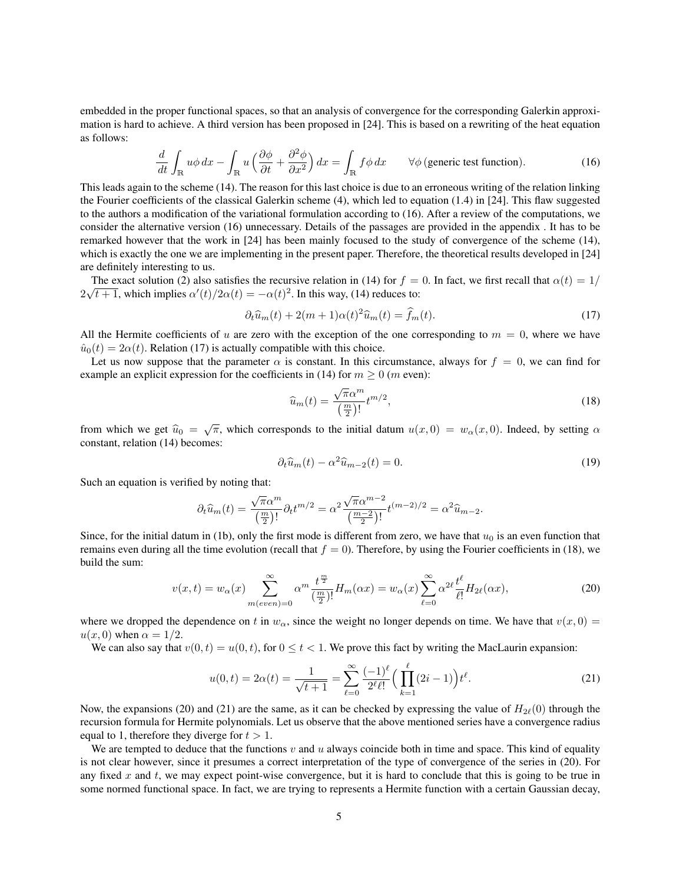embedded in the proper functional spaces, so that an analysis of convergence for the corresponding Galerkin approximation is hard to achieve. A third version has been proposed in [24]. This is based on a rewriting of the heat equation as follows:

$$
\frac{d}{dt} \int_{\mathbb{R}} u\phi \, dx - \int_{\mathbb{R}} u \left( \frac{\partial \phi}{\partial t} + \frac{\partial^2 \phi}{\partial x^2} \right) dx = \int_{\mathbb{R}} f\phi \, dx \qquad \forall \phi \text{ (generic test function)}.
$$
 (16)

This leads again to the scheme (14). The reason for this last choice is due to an erroneous writing of the relation linking the Fourier coefficients of the classical Galerkin scheme (4), which led to equation (1.4) in [24]. This flaw suggested to the authors a modification of the variational formulation according to (16). After a review of the computations, we consider the alternative version (16) unnecessary. Details of the passages are provided in the appendix . It has to be remarked however that the work in [24] has been mainly focused to the study of convergence of the scheme (14), which is exactly the one we are implementing in the present paper. Therefore, the theoretical results developed in [24] are definitely interesting to us.

The exact solution (2) also satisfies the recursive relation in (14) for  $f = 0$ . In fact, we first recall that  $\alpha(t) = 1/$ The exact solution (2) also satisfies the recursive relation in (14) for  $f = 2\sqrt{t+1}$ , which implies  $\alpha'(t)/2\alpha(t) = -\alpha(t)^2$ . In this way, (14) reduces to:

$$
\partial_t \widehat{u}_m(t) + 2(m+1)\alpha(t)^2 \widehat{u}_m(t) = \widehat{f}_m(t). \tag{17}
$$

All the Hermite coefficients of u are zero with the exception of the one corresponding to  $m = 0$ , where we have  $\hat{u}_0(t) = 2\alpha(t)$ . Relation (17) is actually compatible with this choice.

Let us now suppose that the parameter  $\alpha$  is constant. In this circumstance, always for  $f = 0$ , we can find for example an explicit expression for the coefficients in (14) for  $m \ge 0$  (*m* even):

$$
\widehat{u}_m(t) = \frac{\sqrt{\pi} \alpha^m}{\left(\frac{m}{2}\right)!} t^{m/2},\tag{18}
$$

from which we get  $\hat{u}_0 = \sqrt{\pi}$ , which corresponds to the initial datum  $u(x, 0) = w_\alpha(x, 0)$ . Indeed, by setting  $\alpha$ constant, relation (14) becomes:

$$
\partial_t \widehat{u}_m(t) - \alpha^2 \widehat{u}_{m-2}(t) = 0. \tag{19}
$$

Such an equation is verified by noting that:

$$
\partial_t \widehat{u}_m(t) = \frac{\sqrt{\pi} \alpha^m}{\left(\frac{m}{2}\right)!} \partial_t t^{m/2} = \alpha^2 \frac{\sqrt{\pi} \alpha^{m-2}}{\left(\frac{m-2}{2}\right)!} t^{(m-2)/2} = \alpha^2 \widehat{u}_{m-2}.
$$

Since, for the initial datum in (1b), only the first mode is different from zero, we have that  $u_0$  is an even function that remains even during all the time evolution (recall that  $f = 0$ ). Therefore, by using the Fourier coefficients in (18), we build the sum:

$$
v(x,t) = w_{\alpha}(x) \sum_{m(even)=0}^{\infty} \alpha^m \frac{t^{\frac{m}{2}}}{(\frac{m}{2})!} H_m(\alpha x) = w_{\alpha}(x) \sum_{\ell=0}^{\infty} \alpha^{2\ell} \frac{t^{\ell}}{\ell!} H_{2\ell}(\alpha x), \tag{20}
$$

where we dropped the dependence on t in  $w_{\alpha}$ , since the weight no longer depends on time. We have that  $v(x, 0) =$  $u(x, 0)$  when  $\alpha = 1/2$ .

We can also say that  $v(0, t) = u(0, t)$ , for  $0 \le t < 1$ . We prove this fact by writing the MacLaurin expansion:

$$
u(0,t) = 2\alpha(t) = \frac{1}{\sqrt{t+1}} = \sum_{\ell=0}^{\infty} \frac{(-1)^{\ell}}{2^{\ell}\ell!} \Big(\prod_{k=1}^{\ell} (2i-1)\Big) t^{\ell}.
$$
 (21)

Now, the expansions (20) and (21) are the same, as it can be checked by expressing the value of  $H_{2\ell}(0)$  through the recursion formula for Hermite polynomials. Let us observe that the above mentioned series have a convergence radius equal to 1, therefore they diverge for  $t > 1$ .

We are tempted to deduce that the functions  $v$  and  $u$  always coincide both in time and space. This kind of equality is not clear however, since it presumes a correct interpretation of the type of convergence of the series in (20). For any fixed  $x$  and  $t$ , we may expect point-wise convergence, but it is hard to conclude that this is going to be true in some normed functional space. In fact, we are trying to represents a Hermite function with a certain Gaussian decay,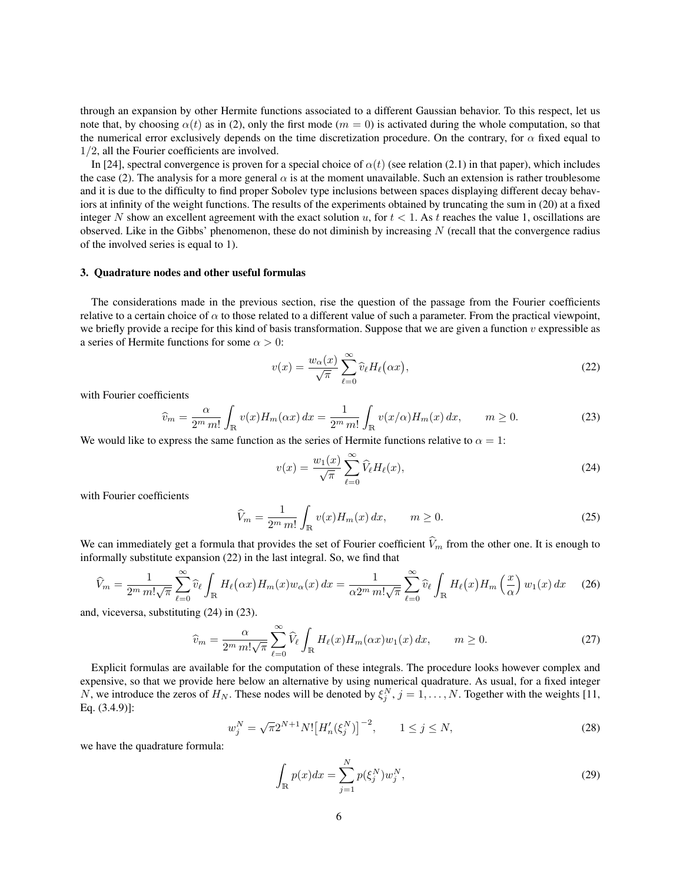through an expansion by other Hermite functions associated to a different Gaussian behavior. To this respect, let us note that, by choosing  $\alpha(t)$  as in (2), only the first mode ( $m = 0$ ) is activated during the whole computation, so that the numerical error exclusively depends on the time discretization procedure. On the contrary, for  $\alpha$  fixed equal to 1/2, all the Fourier coefficients are involved.

In [24], spectral convergence is proven for a special choice of  $\alpha(t)$  (see relation (2.1) in that paper), which includes the case (2). The analysis for a more general  $\alpha$  is at the moment unavailable. Such an extension is rather troublesome and it is due to the difficulty to find proper Sobolev type inclusions between spaces displaying different decay behaviors at infinity of the weight functions. The results of the experiments obtained by truncating the sum in (20) at a fixed integer N show an excellent agreement with the exact solution u, for  $t < 1$ . As t reaches the value 1, oscillations are observed. Like in the Gibbs' phenomenon, these do not diminish by increasing  $N$  (recall that the convergence radius of the involved series is equal to 1).

#### 3. Quadrature nodes and other useful formulas

The considerations made in the previous section, rise the question of the passage from the Fourier coefficients relative to a certain choice of  $\alpha$  to those related to a different value of such a parameter. From the practical viewpoint, we briefly provide a recipe for this kind of basis transformation. Suppose that we are given a function  $v$  expressible as a series of Hermite functions for some  $\alpha > 0$ :

$$
v(x) = \frac{w_{\alpha}(x)}{\sqrt{\pi}} \sum_{\ell=0}^{\infty} \widehat{v}_{\ell} H_{\ell}(\alpha x), \qquad (22)
$$

with Fourier coefficients

$$
\widehat{v}_m = \frac{\alpha}{2^m \, m!} \int_{\mathbb{R}} v(x) H_m(\alpha x) \, dx = \frac{1}{2^m \, m!} \int_{\mathbb{R}} v(x/\alpha) H_m(x) \, dx, \qquad m \ge 0. \tag{23}
$$

We would like to express the same function as the series of Hermite functions relative to  $\alpha = 1$ :

$$
v(x) = \frac{w_1(x)}{\sqrt{\pi}} \sum_{\ell=0}^{\infty} \widehat{V}_{\ell} H_{\ell}(x),\tag{24}
$$

with Fourier coefficients

$$
\widehat{V}_m = \frac{1}{2^m m!} \int_{\mathbb{R}} v(x) H_m(x) dx, \qquad m \ge 0.
$$
\n(25)

We can immediately get a formula that provides the set of Fourier coefficient  $\widehat{V}_m$  from the other one. It is enough to informally substitute expansion (22) in the last integral. So, we find that

$$
\widehat{V}_m = \frac{1}{2^m \, m! \sqrt{\pi}} \sum_{\ell=0}^{\infty} \widehat{v}_{\ell} \int_{\mathbb{R}} H_{\ell}(\alpha x) H_m(x) w_{\alpha}(x) dx = \frac{1}{\alpha 2^m \, m! \sqrt{\pi}} \sum_{\ell=0}^{\infty} \widehat{v}_{\ell} \int_{\mathbb{R}} H_{\ell}(x) H_m\left(\frac{x}{\alpha}\right) w_1(x) dx \tag{26}
$$

and, viceversa, substituting (24) in (23).

$$
\widehat{v}_m = \frac{\alpha}{2^m \, m! \sqrt{\pi}} \sum_{\ell=0}^{\infty} \widehat{V}_{\ell} \int_{\mathbb{R}} H_{\ell}(x) H_m(\alpha x) w_1(x) \, dx, \qquad m \ge 0. \tag{27}
$$

Explicit formulas are available for the computation of these integrals. The procedure looks however complex and expensive, so that we provide here below an alternative by using numerical quadrature. As usual, for a fixed integer N, we introduce the zeros of  $H_N$ . These nodes will be denoted by  $\xi_j^N$ ,  $j = 1, ..., N$ . Together with the weights [11, Eq. (3.4.9)]:

$$
w_j^N = \sqrt{\pi} 2^{N+1} N! \left[ H'_n(\xi_j^N) \right]^{-2}, \qquad 1 \le j \le N,
$$
\n(28)

we have the quadrature formula:

$$
\int_{\mathbb{R}} p(x)dx = \sum_{j=1}^{N} p(\xi_j^N)w_j^N,
$$
\n(29)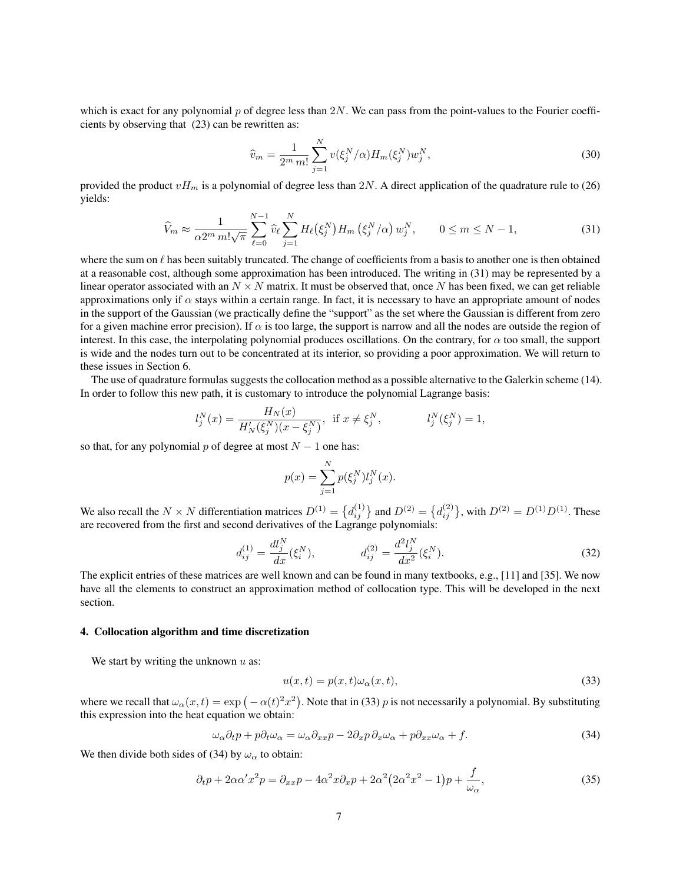which is exact for any polynomial  $p$  of degree less than 2N. We can pass from the point-values to the Fourier coefficients by observing that (23) can be rewritten as:

$$
\hat{v}_m = \frac{1}{2^m \, m!} \sum_{j=1}^N v(\xi_j^N/\alpha) H_m(\xi_j^N) w_j^N,
$$
\n(30)

provided the product  $vH_m$  is a polynomial of degree less than 2N. A direct application of the quadrature rule to (26) yields:

$$
\widehat{V}_m \approx \frac{1}{\alpha 2^m \, m! \sqrt{\pi}} \sum_{\ell=0}^{N-1} \widehat{v}_\ell \sum_{j=1}^N H_\ell(\xi_j^N) H_m\left(\xi_j^N/\alpha\right) w_j^N, \qquad 0 \le m \le N-1,
$$
\n(31)

where the sum on  $\ell$  has been suitably truncated. The change of coefficients from a basis to another one is then obtained at a reasonable cost, although some approximation has been introduced. The writing in (31) may be represented by a linear operator associated with an  $N \times N$  matrix. It must be observed that, once N has been fixed, we can get reliable approximations only if  $\alpha$  stays within a certain range. In fact, it is necessary to have an appropriate amount of nodes in the support of the Gaussian (we practically define the "support" as the set where the Gaussian is different from zero for a given machine error precision). If  $\alpha$  is too large, the support is narrow and all the nodes are outside the region of interest. In this case, the interpolating polynomial produces oscillations. On the contrary, for  $\alpha$  too small, the support is wide and the nodes turn out to be concentrated at its interior, so providing a poor approximation. We will return to these issues in Section 6.

The use of quadrature formulas suggests the collocation method as a possible alternative to the Galerkin scheme (14). In order to follow this new path, it is customary to introduce the polynomial Lagrange basis:

$$
l_j^N(x) = \frac{H_N(x)}{H'_N(\xi_j^N)(x - \xi_j^N)}, \text{ if } x \neq \xi_j^N, \qquad l_j^N(\xi_j^N) = 1,
$$

so that, for any polynomial p of degree at most  $N - 1$  one has:

$$
p(x) = \sum_{j=1}^{N} p(\xi_j^N) l_j^N(x).
$$

We also recall the  $N \times N$  differentiation matrices  $D^{(1)} = \{d_{ij}^{(1)}\}$  and  $D^{(2)} = \{d_{ij}^{(2)}\}$ , with  $D^{(2)} = D^{(1)}D^{(1)}$ . These are recovered from the first and second derivatives of the Lagrange polynomials:

$$
d_{ij}^{(1)} = \frac{dl_j^N}{dx}(\xi_i^N), \qquad d_{ij}^{(2)} = \frac{d^2l_j^N}{dx^2}(\xi_i^N). \tag{32}
$$

The explicit entries of these matrices are well known and can be found in many textbooks, e.g., [11] and [35]. We now have all the elements to construct an approximation method of collocation type. This will be developed in the next section.

## 4. Collocation algorithm and time discretization

We start by writing the unknown  $u$  as:

$$
u(x,t) = p(x,t)\omega_{\alpha}(x,t),
$$
\n(33)

where we recall that  $\omega_\alpha(x,t) = \exp(-\alpha(t)^2 x^2)$ . Note that in (33) p is not necessarily a polynomial. By substituting this expression into the heat equation we obtain:

$$
\omega_{\alpha}\partial_t p + p\partial_t \omega_{\alpha} = \omega_{\alpha}\partial_{xx}p - 2\partial_x p\partial_x \omega_{\alpha} + p\partial_{xx}\omega_{\alpha} + f. \tag{34}
$$

We then divide both sides of (34) by  $\omega_{\alpha}$  to obtain:

$$
\partial_t p + 2\alpha \alpha' x^2 p = \partial_{xx} p - 4\alpha^2 x \partial_x p + 2\alpha^2 (2\alpha^2 x^2 - 1) p + \frac{f}{\omega_{\alpha}},\tag{35}
$$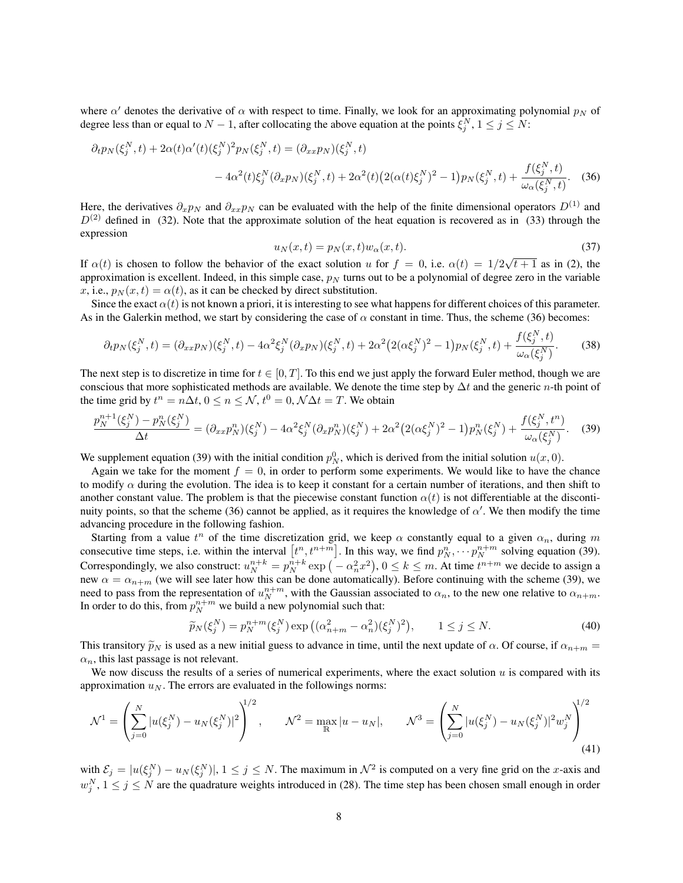where  $\alpha'$  denotes the derivative of  $\alpha$  with respect to time. Finally, we look for an approximating polynomial  $p_N$  of degree less than or equal to  $N-1$ , after collocating the above equation at the points  $\xi_j^N$ ,  $1 \le j \le N$ :

$$
\partial_t p_N(\xi_j^N, t) + 2\alpha(t)\alpha'(t)(\xi_j^N)^2 p_N(\xi_j^N, t) = (\partial_{xx} p_N)(\xi_j^N, t) \n- 4\alpha^2(t)\xi_j^N(\partial_x p_N)(\xi_j^N, t) + 2\alpha^2(t)\left(2(\alpha(t)\xi_j^N)^2 - 1\right) p_N(\xi_j^N, t) + \frac{f(\xi_j^N, t)}{\omega_\alpha(\xi_j^N, t)}.
$$
\n(36)

Here, the derivatives  $\partial_x p_N$  and  $\partial_{xx} p_N$  can be evaluated with the help of the finite dimensional operators  $D^{(1)}$  and  $D^{(2)}$  defined in (32). Note that the approximate solution of the heat equation is recovered as in (33) through the expression

$$
u_N(x,t) = p_N(x,t)w_\alpha(x,t). \tag{37}
$$

If  $\alpha(t)$  is chosen to follow the behavior of the exact solution u for  $f = 0$ , i.e.  $\alpha(t) = 1/2\sqrt{t+1}$  as in (2), the approximation is excellent. Indeed, in this simple case,  $p_N$  turns out to be a polynomial of degree zero in the variable x, i.e.,  $p_N(x, t) = \alpha(t)$ , as it can be checked by direct substitution.

Since the exact  $\alpha(t)$  is not known a priori, it is interesting to see what happens for different choices of this parameter. As in the Galerkin method, we start by considering the case of  $\alpha$  constant in time. Thus, the scheme (36) becomes:

$$
\partial_t p_N(\xi_j^N, t) = (\partial_{xx} p_N)(\xi_j^N, t) - 4\alpha^2 \xi_j^N (\partial_x p_N)(\xi_j^N, t) + 2\alpha^2 \left(2(\alpha \xi_j^N)^2 - 1\right) p_N(\xi_j^N, t) + \frac{f(\xi_j^N, t)}{\omega_\alpha(\xi_j^N)}.
$$
(38)

The next step is to discretize in time for  $t \in [0, T]$ . To this end we just apply the forward Euler method, though we are conscious that more sophisticated methods are available. We denote the time step by  $\Delta t$  and the generic *n*-th point of the time grid by  $t^n = n\Delta t$ ,  $0 \le n \le \mathcal{N}$ ,  $t^0 = 0$ ,  $\mathcal{N}\Delta t = T$ . We obtain

$$
\frac{p_N^{n+1}(\xi_j^N) - p_N^n(\xi_j^N)}{\Delta t} = (\partial_{xx} p_N^n)(\xi_j^N) - 4\alpha^2 \xi_j^N (\partial_x p_N^n)(\xi_j^N) + 2\alpha^2 (2(\alpha \xi_j^N)^2 - 1) p_N^n(\xi_j^N) + \frac{f(\xi_j^N, t^n)}{\omega_\alpha(\xi_j^N)}.
$$
 (39)

We supplement equation (39) with the initial condition  $p_N^0$ , which is derived from the initial solution  $u(x, 0)$ .

Again we take for the moment  $f = 0$ , in order to perform some experiments. We would like to have the chance to modify  $\alpha$  during the evolution. The idea is to keep it constant for a certain number of iterations, and then shift to another constant value. The problem is that the piecewise constant function  $\alpha(t)$  is not differentiable at the discontinuity points, so that the scheme (36) cannot be applied, as it requires the knowledge of  $\alpha'$ . We then modify the time advancing procedure in the following fashion.

Starting from a value  $t^n$  of the time discretization grid, we keep  $\alpha$  constantly equal to a given  $\alpha_n$ , during m consecutive time steps, i.e. within the interval  $[t^n, t^{n+m}]$ . In this way, we find  $p_N^n, \dots, p_N^{n+m}$  solving equation (39). Correspondingly, we also construct:  $u_N^{n+k} = p_N^{n+k} \exp(-\alpha_n^2 x^2)$ ,  $0 \le k \le m$ . At time  $t^{n+m}$  we decide to assign a new  $\alpha = \alpha_{n+m}$  (we will see later how this can be done automatically). Before continuing with the scheme (39), we need to pass from the representation of  $u_N^{n+m}$ , with the Gaussian associated to  $\alpha_n$ , to the new one relative to  $\alpha_{n+m}$ . In order to do this, from  $p_N^{n+m}$  we build a new polynomial such that:

$$
\widetilde{p}_N(\xi_j^N) = p_N^{n+m}(\xi_j^N) \exp\left((\alpha_{n+m}^2 - \alpha_n^2)(\xi_j^N)^2\right), \qquad 1 \le j \le N. \tag{40}
$$

This transitory  $\tilde{p}_N$  is used as a new initial guess to advance in time, until the next update of  $\alpha$ . Of course, if  $\alpha_{n+m}$  $\alpha_n$ , this last passage is not relevant.

We now discuss the results of a series of numerical experiments, where the exact solution  $u$  is compared with its approximation  $u_N$ . The errors are evaluated in the followings norms:

$$
\mathcal{N}^1 = \left(\sum_{j=0}^N |u(\xi_j^N) - u_N(\xi_j^N)|^2\right)^{1/2}, \qquad \mathcal{N}^2 = \max_{\mathbb{R}} |u - u_N|, \qquad \mathcal{N}^3 = \left(\sum_{j=0}^N |u(\xi_j^N) - u_N(\xi_j^N)|^2 w_j^N\right)^{1/2}
$$
\n(41)

with  $\mathcal{E}_j = |u(\xi_j^N) - u_N(\xi_j^N)|$ ,  $1 \le j \le N$ . The maximum in  $\mathcal{N}^2$  is computed on a very fine grid on the x-axis and  $w_j^N$ ,  $1 \le j \le N$  are the quadrature weights introduced in (28). The time step has been chosen small enough in order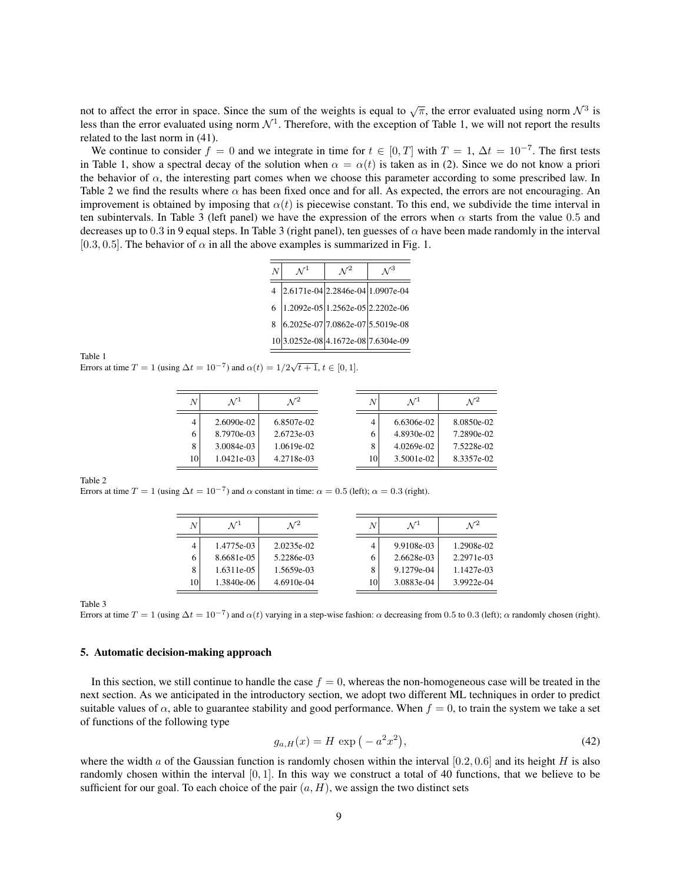not to affect the error in space. Since the sum of the weights is equal to  $\sqrt{\pi}$ , the error evaluated using norm  $\mathcal{N}^3$  is less than the error evaluated using norm  $\mathcal{N}^1$ . Therefore, with the exception of Table 1, we will not report the results related to the last norm in (41).

We continue to consider  $f = 0$  and we integrate in time for  $t \in [0, T]$  with  $T = 1, \Delta t = 10^{-7}$ . The first tests in Table 1, show a spectral decay of the solution when  $\alpha = \alpha(t)$  is taken as in (2). Since we do not know a priori the behavior of  $\alpha$ , the interesting part comes when we choose this parameter according to some prescribed law. In Table 2 we find the results where  $\alpha$  has been fixed once and for all. As expected, the errors are not encouraging. An improvement is obtained by imposing that  $\alpha(t)$  is piecewise constant. To this end, we subdivide the time interval in ten subintervals. In Table 3 (left panel) we have the expression of the errors when  $\alpha$  starts from the value 0.5 and decreases up to 0.3 in 9 equal steps. In Table 3 (right panel), ten guesses of  $\alpha$  have been made randomly in the interval [0.3, 0.5]. The behavior of  $\alpha$  in all the above examples is summarized in Fig. 1.

| $\overline{N}$ | $\mathcal{N}^1$                    | $\mathcal{N}^2$ |  |
|----------------|------------------------------------|-----------------|--|
| $\overline{4}$ | $2.6171e-04$ 2.2846e-04 1.0907e-04 |                 |  |
| 6              | 1.2092e-05 1.2562e-05 2.2202e-06   |                 |  |
| 8              | $6.2025e-07$ 7.0862e-07 5.5019e-08 |                 |  |
|                | 103.0252e-084.1672e-087.6304e-09   |                 |  |

Table 1

From at time  $T = 1$  (using  $\Delta t = 10^{-7}$ ) and  $\alpha(t) = 1/2\sqrt{t+1}$ ,  $t \in [0, 1]$ .

| N  | $\mathcal{N}^1$ | $\mathcal{N}^2$ | N  | $\mathcal{N}^1$ | $\mathcal{N}^2$ |
|----|-----------------|-----------------|----|-----------------|-----------------|
| 4  | $2.6090e-02$    | 6.8507e-02      | 4  | 6.6306e-02      | 8.0850e-02      |
| 6  | 8.7970e-03      | 2.6723e-03      | 6  | 4.8930e-02      | 7.2890e-02      |
| 8  | 3.0084e-03      | 1.0619e-02      | 8  | 4.0269e-02      | 7.5228e-02      |
| 10 | $1.0421e-03$    | 4.2718e-03      | 10 | 3.5001e-02      | 8.3357e-02      |

## Table 2

Errors at time  $T = 1$  (using  $\Delta t = 10^{-7}$ ) and  $\alpha$  constant in time:  $\alpha = 0.5$  (left);  $\alpha = 0.3$  (right).

| N  | $\mathcal{N}^1$ | $\Lambda$ r $^2$ | N  | $\mathcal{N}^{\perp}$ | $\mathcal{N}^2$ |
|----|-----------------|------------------|----|-----------------------|-----------------|
| 4  | 1.4775e-03      | 2.0235e-02       | 4  | 9.9108e-03            | 1.2908e-02      |
| 6  | 8.6681e-05      | 5.2286e-03       | 6  | 2.6628e-03            | 2.2971e-03      |
| 8  | 1.6311e-05      | 1.5659e-03       | 8  | 9.1279e-04            | 1.1427e-03      |
| 10 | 1.3840e-06      | $4.6910e-04$     | 10 | 3.0883e-04            | 3.9922e-04      |

Table 3

Errors at time  $T = 1$  (using  $\Delta t = 10^{-7}$ ) and  $\alpha(t)$  varying in a step-wise fashion:  $\alpha$  decreasing from 0.5 to 0.3 (left);  $\alpha$  randomly chosen (right).

## 5. Automatic decision-making approach

In this section, we still continue to handle the case  $f = 0$ , whereas the non-homogeneous case will be treated in the next section. As we anticipated in the introductory section, we adopt two different ML techniques in order to predict suitable values of  $\alpha$ , able to guarantee stability and good performance. When  $f = 0$ , to train the system we take a set of functions of the following type

$$
g_{a,H}(x) = H \exp\left(-a^2 x^2\right),\tag{42}
$$

where the width a of the Gaussian function is randomly chosen within the interval  $[0.2, 0.6]$  and its height H is also randomly chosen within the interval [0, 1]. In this way we construct a total of 40 functions, that we believe to be sufficient for our goal. To each choice of the pair  $(a, H)$ , we assign the two distinct sets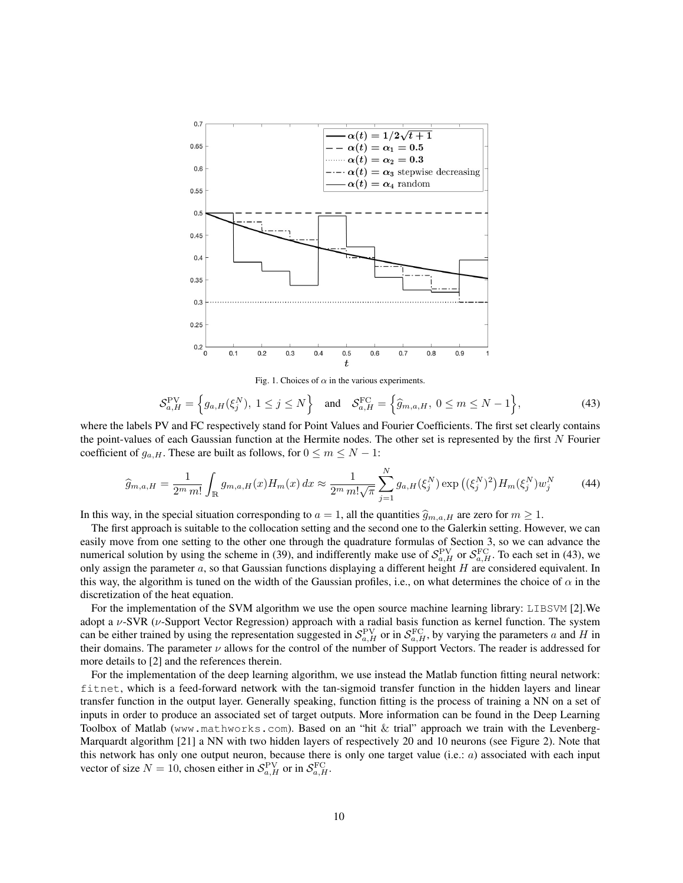

Fig. 1. Choices of  $\alpha$  in the various experiments.

$$
\mathcal{S}_{a,H}^{\text{PV}} = \left\{ g_{a,H}(\xi_j^N), \ 1 \le j \le N \right\} \quad \text{and} \quad \mathcal{S}_{a,H}^{\text{FC}} = \left\{ \widehat{g}_{m,a,H}, \ 0 \le m \le N-1 \right\},\tag{43}
$$

where the labels PV and FC respectively stand for Point Values and Fourier Coefficients. The first set clearly contains the point-values of each Gaussian function at the Hermite nodes. The other set is represented by the first  $N$  Fourier coefficient of  $g_{a,H}$ . These are built as follows, for  $0 \le m \le N - 1$ :

$$
\widehat{g}_{m,a,H} = \frac{1}{2^m \, m!} \int_{\mathbb{R}} g_{m,a,H}(x) H_m(x) \, dx \approx \frac{1}{2^m \, m! \sqrt{\pi}} \sum_{j=1}^N g_{a,H}(\xi_j^N) \exp\left((\xi_j^N)^2\right) H_m(\xi_j^N) w_j^N \tag{44}
$$

In this way, in the special situation corresponding to  $a = 1$ , all the quantities  $\hat{g}_{m,a,H}$  are zero for  $m \ge 1$ .

The first approach is suitable to the collocation setting and the second one to the Galerkin setting. However, we can easily move from one setting to the other one through the quadrature formulas of Section 3, so we can advance the numerical solution by using the scheme in (39), and indifferently make use of  $S_{a,H}^{\text{PV}}$  or  $S_{a,H}^{\text{FC}}$ . To each set in (43), we only assign the parameter  $a$ , so that Gaussian functions displaying a different height  $H$  are considered equivalent. In this way, the algorithm is tuned on the width of the Gaussian profiles, i.e., on what determines the choice of  $\alpha$  in the discretization of the heat equation.

For the implementation of the SVM algorithm we use the open source machine learning library: LIBSVM [2]. We adopt a  $\nu$ -SVR ( $\nu$ -Support Vector Regression) approach with a radial basis function as kernel function. The system can be either trained by using the representation suggested in  $S_{a,H}^{\text{PV}}$  or in  $S_{a,H}^{\text{FC}}$ , by varying the parameters a and H in their domains. The parameter  $\nu$  allows for the control of the number of Support Vectors. The reader is addressed for more details to [2] and the references therein.

For the implementation of the deep learning algorithm, we use instead the Matlab function fitting neural network: fitnet, which is a feed-forward network with the tan-sigmoid transfer function in the hidden layers and linear transfer function in the output layer. Generally speaking, function fitting is the process of training a NN on a set of inputs in order to produce an associated set of target outputs. More information can be found in the Deep Learning Toolbox of Matlab (www.mathworks.com). Based on an "hit & trial" approach we train with the Levenberg-Marquardt algorithm [21] a NN with two hidden layers of respectively 20 and 10 neurons (see Figure 2). Note that this network has only one output neuron, because there is only one target value (i.e.: a) associated with each input vector of size  $N = 10$ , chosen either in  $\mathcal{S}_{a,H}^{\text{PV}}$  or in  $\mathcal{S}_{a,H}^{\text{FC}}$ .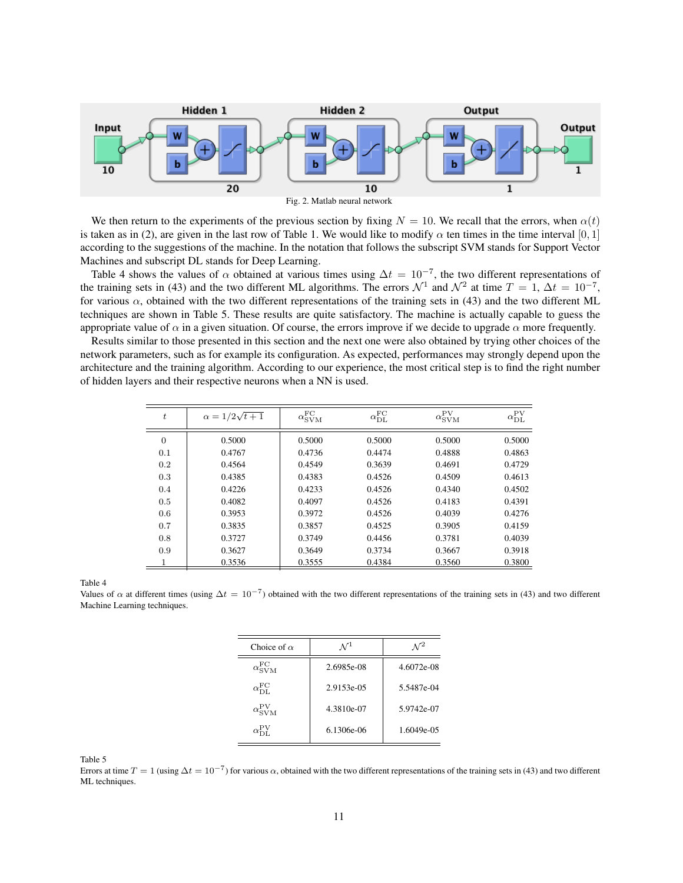



Table 4 shows the values of  $\alpha$  obtained at various times using  $\Delta t = 10^{-7}$ , the two different representations of the training sets in (43) and the two different ML algorithms. The errors  $\mathcal{N}^1$  and  $\mathcal{N}^2$  at time  $T = 1$ ,  $\Delta t = 10^{-7}$ , for various  $\alpha$ , obtained with the two different representations of the training sets in (43) and the two different ML techniques are shown in Table 5. These results are quite satisfactory. The machine is actually capable to guess the appropriate value of  $\alpha$  in a given situation. Of course, the errors improve if we decide to upgrade  $\alpha$  more frequently.

Results similar to those presented in this section and the next one were also obtained by trying other choices of the network parameters, such as for example its configuration. As expected, performances may strongly depend upon the architecture and the training algorithm. According to our experience, the most critical step is to find the right number of hidden layers and their respective neurons when a NN is used.

| $\boldsymbol{t}$ | $\alpha = 1/2\sqrt{t+1}$ | $\alpha_{\rm SVM}^{\rm FC}$ | $\alpha_{\mathrm{DL}}^{\mathrm{FC}}$ | $\alpha_{\rm SVM}^{\rm PV}$ | $\alpha_{\mathrm{DL}}^{\mathrm{PV}}$ |
|------------------|--------------------------|-----------------------------|--------------------------------------|-----------------------------|--------------------------------------|
| $\theta$         | 0.5000                   | 0.5000                      | 0.5000                               | 0.5000                      | 0.5000                               |
| 0.1              | 0.4767                   | 0.4736                      | 0.4474                               | 0.4888                      | 0.4863                               |
| 0.2              | 0.4564                   | 0.4549                      | 0.3639                               | 0.4691                      | 0.4729                               |
| 0.3              | 0.4385                   | 0.4383                      | 0.4526                               | 0.4509                      | 0.4613                               |
| 0.4              | 0.4226                   | 0.4233                      | 0.4526                               | 0.4340                      | 0.4502                               |
| 0.5              | 0.4082                   | 0.4097                      | 0.4526                               | 0.4183                      | 0.4391                               |
| 0.6              | 0.3953                   | 0.3972                      | 0.4526                               | 0.4039                      | 0.4276                               |
| 0.7              | 0.3835                   | 0.3857                      | 0.4525                               | 0.3905                      | 0.4159                               |
| 0.8              | 0.3727                   | 0.3749                      | 0.4456                               | 0.3781                      | 0.4039                               |
| 0.9              | 0.3627                   | 0.3649                      | 0.3734                               | 0.3667                      | 0.3918                               |
|                  | 0.3536                   | 0.3555                      | 0.4384                               | 0.3560                      | 0.3800                               |

Table 4

Values of  $\alpha$  at different times (using  $\Delta t = 10^{-7}$ ) obtained with the two different representations of the training sets in (43) and two different Machine Learning techniques.

| Choice of $\alpha$                | $\mathcal{N}^{\perp}$ |            |
|-----------------------------------|-----------------------|------------|
| $\alpha_{\rm SVM}^{\rm FC}$       | 2.6985e-08            | 4.6072e-08 |
| $\alpha_{\rm DL}^{\rm FC}$        | 2.9153e-05            | 5.5487e-04 |
| $\alpha_{\text{SVM}}^{\text{PV}}$ | 4.3810e-07            | 5.9742e-07 |
| $\alpha_{\rm DT}^{\rm PV}$        | 6.1306e-06            | 1.6049e-05 |

Table 5

Errors at time  $T = 1$  (using  $\Delta t = 10^{-7}$ ) for various  $\alpha$ , obtained with the two different representations of the training sets in (43) and two different ML techniques.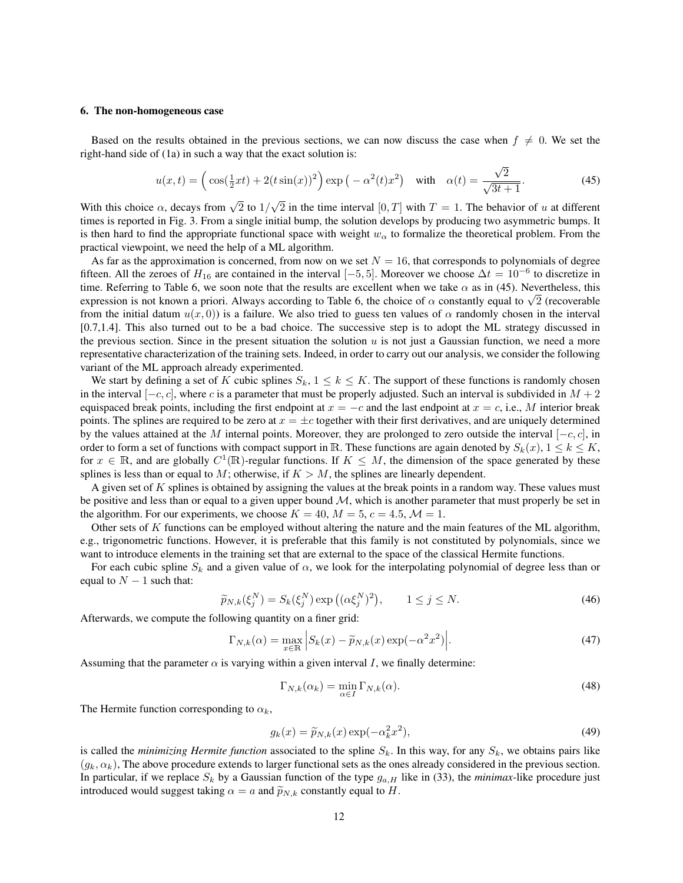#### 6. The non-homogeneous case

Based on the results obtained in the previous sections, we can now discuss the case when  $f \neq 0$ . We set the right-hand side of (1a) in such a way that the exact solution is:

$$
u(x,t) = \left(\cos(\frac{1}{2}xt) + 2(t\sin(x))^2\right) \exp\left(-\alpha^2(t)x^2\right) \quad \text{with} \quad \alpha(t) = \frac{\sqrt{2}}{\sqrt{3t+1}}.\tag{45}
$$

With this choice  $\alpha$ , decays from  $\sqrt{2}$  to 1/ 2 in the time interval  $[0, T]$  with  $T = 1$ . The behavior of u at different times is reported in Fig. 3. From a single initial bump, the solution develops by producing two asymmetric bumps. It is then hard to find the appropriate functional space with weight  $w_{\alpha}$  to formalize the theoretical problem. From the practical viewpoint, we need the help of a ML algorithm.

As far as the approximation is concerned, from now on we set  $N = 16$ , that corresponds to polynomials of degree fifteen. All the zeroes of  $H_{16}$  are contained in the interval  $[-5, 5]$ . Moreover we choose  $\Delta t = 10^{-6}$  to discretize in time. Referring to Table 6, we soon note that the results are excellent when we take  $\alpha$  as in (45). Nevertheless, this ume. Referring to Table 6, we soon note that the results are excellent when we take  $\alpha$  as in (45). Nevertheless, this expression is not known a priori. Always according to Table 6, the choice of  $\alpha$  constantly equal t from the initial datum  $u(x, 0)$ ) is a failure. We also tried to guess ten values of  $\alpha$  randomly chosen in the interval [0.7,1.4]. This also turned out to be a bad choice. The successive step is to adopt the ML strategy discussed in the previous section. Since in the present situation the solution  $u$  is not just a Gaussian function, we need a more representative characterization of the training sets. Indeed, in order to carry out our analysis, we consider the following variant of the ML approach already experimented.

We start by defining a set of K cubic splines  $S_k$ ,  $1 \leq k \leq K$ . The support of these functions is randomly chosen in the interval  $[-c, c]$ , where c is a parameter that must be properly adjusted. Such an interval is subdivided in  $M + 2$ equispaced break points, including the first endpoint at  $x = -c$  and the last endpoint at  $x = c$ , i.e., M interior break points. The splines are required to be zero at  $x = \pm c$  together with their first derivatives, and are uniquely determined by the values attained at the M internal points. Moreover, they are prolonged to zero outside the interval  $[-c, c]$ , in order to form a set of functions with compact support in R. These functions are again denoted by  $S_k(x)$ ,  $1 \leq k \leq K$ , for  $x \in \mathbb{R}$ , and are globally  $C^1(\mathbb{R})$ -regular functions. If  $K \leq M$ , the dimension of the space generated by these splines is less than or equal to  $M$ ; otherwise, if  $K > M$ , the splines are linearly dependent.

A given set of K splines is obtained by assigning the values at the break points in a random way. These values must be positive and less than or equal to a given upper bound  $M$ , which is another parameter that must properly be set in the algorithm. For our experiments, we choose  $K = 40$ ,  $M = 5$ ,  $c = 4.5$ ,  $M = 1$ .

Other sets of  $K$  functions can be employed without altering the nature and the main features of the ML algorithm, e.g., trigonometric functions. However, it is preferable that this family is not constituted by polynomials, since we want to introduce elements in the training set that are external to the space of the classical Hermite functions.

For each cubic spline  $S_k$  and a given value of  $\alpha$ , we look for the interpolating polynomial of degree less than or equal to  $N - 1$  such that:

$$
\widetilde{p}_{N,k}(\xi_j^N) = S_k(\xi_j^N) \exp\left((\alpha \xi_j^N)^2\right), \qquad 1 \le j \le N. \tag{46}
$$

Afterwards, we compute the following quantity on a finer grid:

$$
\Gamma_{N,k}(\alpha) = \max_{x \in \mathbb{R}} \left| S_k(x) - \widetilde{p}_{N,k}(x) \exp(-\alpha^2 x^2) \right|.
$$
\n(47)

Assuming that the parameter  $\alpha$  is varying within a given interval I, we finally determine:

$$
\Gamma_{N,k}(\alpha_k) = \min_{\alpha \in I} \Gamma_{N,k}(\alpha). \tag{48}
$$

The Hermite function corresponding to  $\alpha_k$ ,

$$
g_k(x) = \widetilde{p}_{N,k}(x) \exp(-\alpha_k^2 x^2),\tag{49}
$$

is called the *minimizing Hermite function* associated to the spline  $S_k$ . In this way, for any  $S_k$ , we obtains pairs like  $(q_k, \alpha_k)$ , The above procedure extends to larger functional sets as the ones already considered in the previous section. In particular, if we replace  $S_k$  by a Gaussian function of the type  $g_{a,H}$  like in (33), the *minimax*-like procedure just introduced would suggest taking  $\alpha = a$  and  $\widetilde{p}_{N,k}$  constantly equal to H.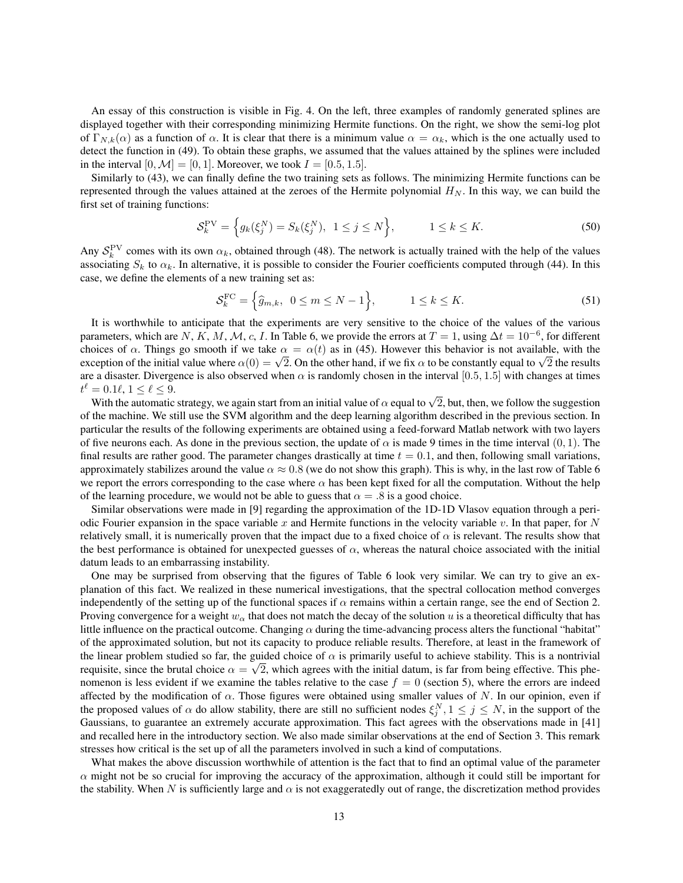An essay of this construction is visible in Fig. 4. On the left, three examples of randomly generated splines are displayed together with their corresponding minimizing Hermite functions. On the right, we show the semi-log plot of  $\Gamma_{N,k}(\alpha)$  as a function of  $\alpha$ . It is clear that there is a minimum value  $\alpha = \alpha_k$ , which is the one actually used to detect the function in (49). To obtain these graphs, we assumed that the values attained by the splines were included in the interval  $[0, \mathcal{M}] = [0, 1]$ . Moreover, we took  $I = [0.5, 1.5]$ .

Similarly to (43), we can finally define the two training sets as follows. The minimizing Hermite functions can be represented through the values attained at the zeroes of the Hermite polynomial  $H_N$ . In this way, we can build the first set of training functions:

$$
\mathcal{S}_k^{\text{PV}} = \left\{ g_k(\xi_j^N) = S_k(\xi_j^N), \ 1 \le j \le N \right\}, \qquad 1 \le k \le K. \tag{50}
$$

Any  $S_k^{\text{PV}}$  comes with its own  $\alpha_k$ , obtained through (48). The network is actually trained with the help of the values associating  $S_k$  to  $\alpha_k$ . In alternative, it is possible to consider the Fourier coefficients computed through (44). In this case, we define the elements of a new training set as:

$$
\mathcal{S}_k^{\text{FC}} = \left\{ \hat{g}_{m,k}, \ 0 \le m \le N - 1 \right\}, \qquad 1 \le k \le K. \tag{51}
$$

It is worthwhile to anticipate that the experiments are very sensitive to the choice of the values of the various parameters, which are N, K, M, M, c, I. In Table 6, we provide the errors at  $T = 1$ , using  $\Delta t = 10^{-6}$ , for different choices of  $\alpha$ . Things go smooth if we take  $\alpha = \alpha(t)$  as in (45). However this behavior is not available, with the exception of the initial value where  $\alpha(0) = \sqrt{2}$ . On the other hand, if we fix  $\alpha$  to be constantly equal to  $\sqrt{2}$  the results are a disaster. Divergence is also observed when  $\alpha$  is randomly chosen in the interval [0.5, 1.5] with changes at times  $t^{\ell} = 0.1\ell, 1 \leq \ell \leq 9.$ 

= 0.1 $\ell$ ,  $1 \leq \ell \leq 9$ .<br>With the automatic strategy, we again start from an initial value of  $\alpha$  equal to  $\sqrt{2}$ , but, then, we follow the suggestion of the machine. We still use the SVM algorithm and the deep learning algorithm described in the previous section. In particular the results of the following experiments are obtained using a feed-forward Matlab network with two layers of five neurons each. As done in the previous section, the update of  $\alpha$  is made 9 times in the time interval  $(0, 1)$ . The final results are rather good. The parameter changes drastically at time  $t = 0.1$ , and then, following small variations, approximately stabilizes around the value  $\alpha \approx 0.8$  (we do not show this graph). This is why, in the last row of Table 6 we report the errors corresponding to the case where  $\alpha$  has been kept fixed for all the computation. Without the help of the learning procedure, we would not be able to guess that  $\alpha = .8$  is a good choice.

Similar observations were made in [9] regarding the approximation of the 1D-1D Vlasov equation through a periodic Fourier expansion in the space variable x and Hermite functions in the velocity variable v. In that paper, for  $N$ relatively small, it is numerically proven that the impact due to a fixed choice of  $\alpha$  is relevant. The results show that the best performance is obtained for unexpected guesses of  $\alpha$ , whereas the natural choice associated with the initial datum leads to an embarrassing instability.

One may be surprised from observing that the figures of Table 6 look very similar. We can try to give an explanation of this fact. We realized in these numerical investigations, that the spectral collocation method converges independently of the setting up of the functional spaces if  $\alpha$  remains within a certain range, see the end of Section 2. Proving convergence for a weight  $w_\alpha$  that does not match the decay of the solution u is a theoretical difficulty that has little influence on the practical outcome. Changing  $\alpha$  during the time-advancing process alters the functional "habitat" of the approximated solution, but not its capacity to produce reliable results. Therefore, at least in the framework of the linear problem studied so far, the guided choice of  $\alpha$  is primarily useful to achieve stability. This is a nontrivial requisite, since the brutal choice  $\alpha = \sqrt{2}$ , which agrees with the initial datum, is far from being effective. This phenomenon is less evident if we examine the tables relative to the case  $f = 0$  (section 5), where the errors are indeed affected by the modification of  $\alpha$ . Those figures were obtained using smaller values of N. In our opinion, even if the proposed values of  $\alpha$  do allow stability, there are still no sufficient nodes  $\xi_j^N, 1 \le j \le N$ , in the support of the Gaussians, to guarantee an extremely accurate approximation. This fact agrees with the observations made in [41] and recalled here in the introductory section. We also made similar observations at the end of Section 3. This remark stresses how critical is the set up of all the parameters involved in such a kind of computations.

What makes the above discussion worthwhile of attention is the fact that to find an optimal value of the parameter  $\alpha$  might not be so crucial for improving the accuracy of the approximation, although it could still be important for the stability. When N is sufficiently large and  $\alpha$  is not exaggeratedly out of range, the discretization method provides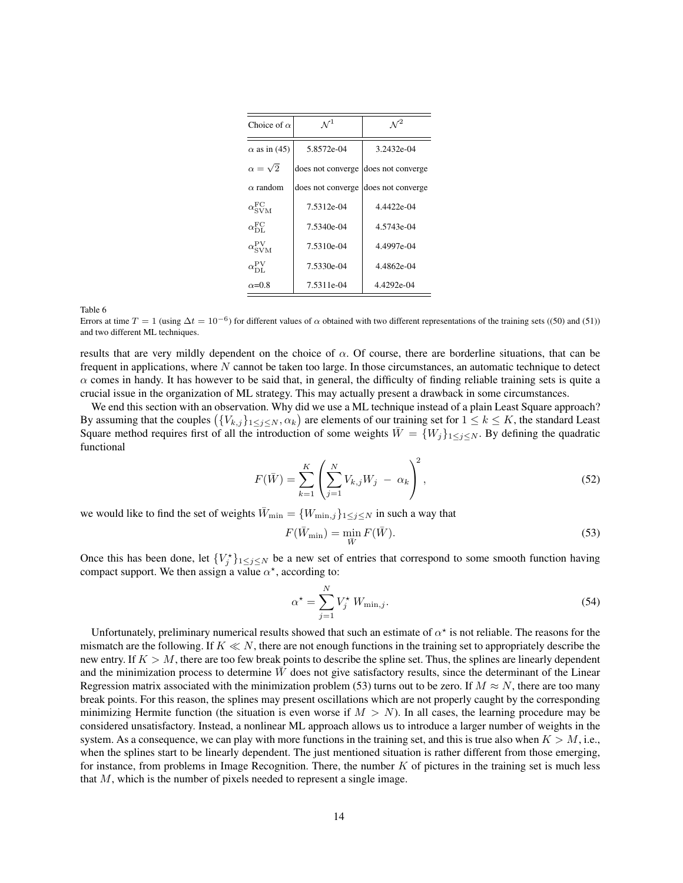| Choice of $\alpha$          | $\mathcal{N}^1$   | $\mathcal{N}^2$   |  |
|-----------------------------|-------------------|-------------------|--|
| $\alpha$ as in (45)         | 5.8572e-04        | 3.2432e-04        |  |
| $\alpha = \sqrt{2}$         | does not converge | does not converge |  |
| $\alpha$ random             | does not converge | does not converge |  |
| $\alpha_{\rm SVM}^{\rm FC}$ | 7.5312e-04        | 4.4422e-04        |  |
| $\alpha_{\rm DL}^{\rm FC}$  | 7.5340e-04        | 4.5743e-04        |  |
| $\alpha_{\rm SVM}^{\rm PV}$ | 7.5310e-04        | 4.4997e-04        |  |
| $\alpha_{\rm DI}^{\rm PV}$  | 7.5330e-04        | 4.4862e-04        |  |
| $\alpha$ =0.8               | 7.5311e-04        | 4.4292e-04        |  |

Table 6

Errors at time  $T = 1$  (using  $\Delta t = 10^{-6}$ ) for different values of  $\alpha$  obtained with two different representations of the training sets ((50) and (51)) and two different ML techniques.

results that are very mildly dependent on the choice of  $\alpha$ . Of course, there are borderline situations, that can be frequent in applications, where N cannot be taken too large. In those circumstances, an automatic technique to detect  $\alpha$  comes in handy. It has however to be said that, in general, the difficulty of finding reliable training sets is quite a crucial issue in the organization of ML strategy. This may actually present a drawback in some circumstances.

We end this section with an observation. Why did we use a ML technique instead of a plain Least Square approach? By assuming that the couples  $(\{V_{k,j}\}_{1\leq j\leq N},\alpha_k)$  are elements of our training set for  $1\leq k\leq K$ , the standard Least Square method requires first of all the introduction of some weights  $\overline{W} = \{W_j\}_{1 \leq j \leq N}$ . By defining the quadratic functional

$$
F(\bar{W}) = \sum_{k=1}^{K} \left( \sum_{j=1}^{N} V_{k,j} W_j - \alpha_k \right)^2,
$$
\n(52)

we would like to find the set of weights  $\overline{W}_{\min} = \{W_{\min,j}\}_{1 \leq j \leq N}$  in such a way that

$$
F(\bar{W}_{\min}) = \min_{\bar{W}} F(\bar{W}).
$$
\n(53)

Once this has been done, let  ${V_j^*}_{1 \leq j \leq N}$  be a new set of entries that correspond to some smooth function having compact support. We then assign a value  $\alpha^*$ , according to:

$$
\alpha^* = \sum_{j=1}^N V_j^* W_{\min,j}.
$$
\n(54)

Unfortunately, preliminary numerical results showed that such an estimate of  $\alpha^*$  is not reliable. The reasons for the mismatch are the following. If  $K \ll N$ , there are not enough functions in the training set to appropriately describe the new entry. If  $K > M$ , there are too few break points to describe the spline set. Thus, the splines are linearly dependent and the minimization process to determine  $W$  does not give satisfactory results, since the determinant of the Linear Regression matrix associated with the minimization problem (53) turns out to be zero. If  $M \approx N$ , there are too many break points. For this reason, the splines may present oscillations which are not properly caught by the corresponding minimizing Hermite function (the situation is even worse if  $M > N$ ). In all cases, the learning procedure may be considered unsatisfactory. Instead, a nonlinear ML approach allows us to introduce a larger number of weights in the system. As a consequence, we can play with more functions in the training set, and this is true also when  $K > M$ , i.e., when the splines start to be linearly dependent. The just mentioned situation is rather different from those emerging, for instance, from problems in Image Recognition. There, the number  $K$  of pictures in the training set is much less that  $M$ , which is the number of pixels needed to represent a single image.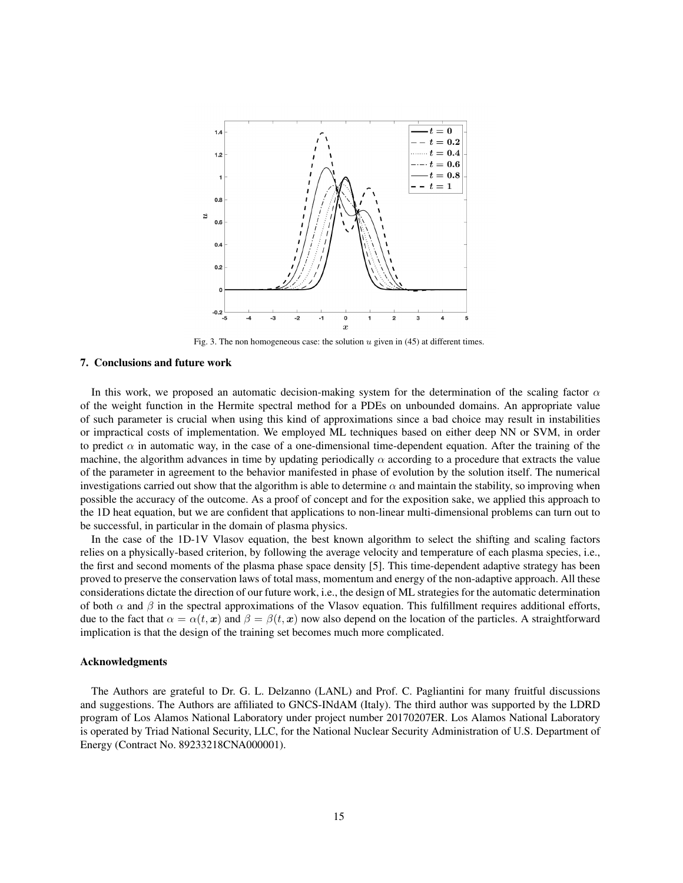

Fig. 3. The non homogeneous case: the solution  $u$  given in (45) at different times.

## 7. Conclusions and future work

In this work, we proposed an automatic decision-making system for the determination of the scaling factor  $\alpha$ of the weight function in the Hermite spectral method for a PDEs on unbounded domains. An appropriate value of such parameter is crucial when using this kind of approximations since a bad choice may result in instabilities or impractical costs of implementation. We employed ML techniques based on either deep NN or SVM, in order to predict  $\alpha$  in automatic way, in the case of a one-dimensional time-dependent equation. After the training of the machine, the algorithm advances in time by updating periodically  $\alpha$  according to a procedure that extracts the value of the parameter in agreement to the behavior manifested in phase of evolution by the solution itself. The numerical investigations carried out show that the algorithm is able to determine  $\alpha$  and maintain the stability, so improving when possible the accuracy of the outcome. As a proof of concept and for the exposition sake, we applied this approach to the 1D heat equation, but we are confident that applications to non-linear multi-dimensional problems can turn out to be successful, in particular in the domain of plasma physics.

In the case of the 1D-1V Vlasov equation, the best known algorithm to select the shifting and scaling factors relies on a physically-based criterion, by following the average velocity and temperature of each plasma species, i.e., the first and second moments of the plasma phase space density [5]. This time-dependent adaptive strategy has been proved to preserve the conservation laws of total mass, momentum and energy of the non-adaptive approach. All these considerations dictate the direction of our future work, i.e., the design of ML strategies for the automatic determination of both  $\alpha$  and  $\beta$  in the spectral approximations of the Vlasov equation. This fulfillment requires additional efforts, due to the fact that  $\alpha = \alpha(t, x)$  and  $\beta = \beta(t, x)$  now also depend on the location of the particles. A straightforward implication is that the design of the training set becomes much more complicated.

## Acknowledgments

The Authors are grateful to Dr. G. L. Delzanno (LANL) and Prof. C. Pagliantini for many fruitful discussions and suggestions. The Authors are affiliated to GNCS-INdAM (Italy). The third author was supported by the LDRD program of Los Alamos National Laboratory under project number 20170207ER. Los Alamos National Laboratory is operated by Triad National Security, LLC, for the National Nuclear Security Administration of U.S. Department of Energy (Contract No. 89233218CNA000001).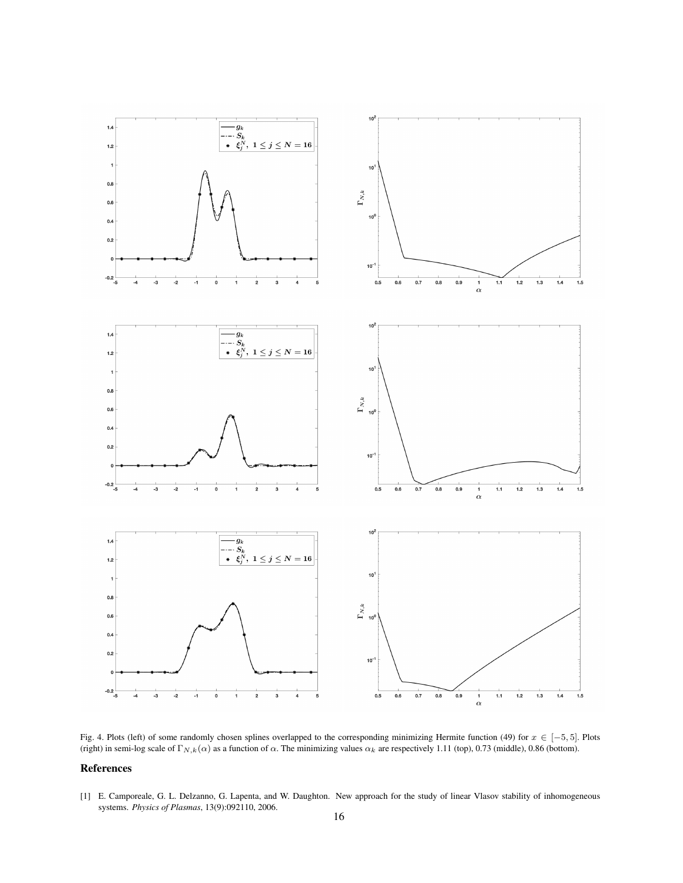

Fig. 4. Plots (left) of some randomly chosen splines overlapped to the corresponding minimizing Hermite function (49) for  $x \in [-5, 5]$ . Plots (right) in semi-log scale of  $\Gamma_{N,k}(\alpha)$  as a function of  $\alpha$ . The minimizing values  $\alpha_k$  are respectively 1.11 (top), 0.73 (middle), 0.86 (bottom).

## References

[1] E. Camporeale, G. L. Delzanno, G. Lapenta, and W. Daughton. New approach for the study of linear Vlasov stability of inhomogeneous systems. *Physics of Plasmas*, 13(9):092110, 2006.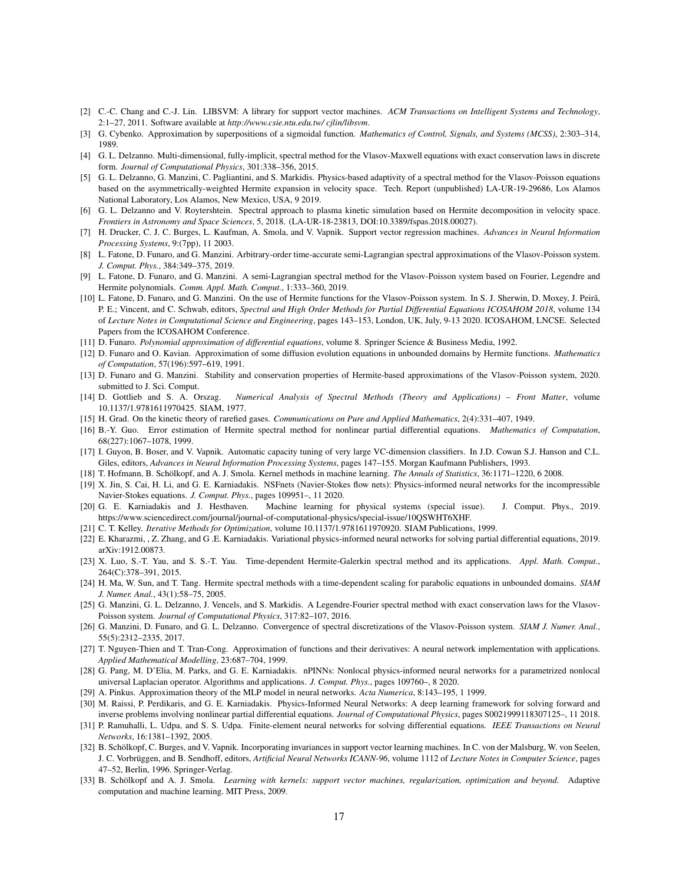- [2] C.-C. Chang and C.-J. Lin. LIBSVM: A library for support vector machines. *ACM Transactions on Intelligent Systems and Technology*, 2:1–27, 2011. Software available at *http://www.csie.ntu.edu.tw/ cjlin/libsvm*.
- [3] G. Cybenko. Approximation by superpositions of a sigmoidal function. *Mathematics of Control, Signals, and Systems (MCSS)*, 2:303–314, 1989.
- [4] G. L. Delzanno. Multi-dimensional, fully-implicit, spectral method for the Vlasov-Maxwell equations with exact conservation laws in discrete form. *Journal of Computational Physics*, 301:338–356, 2015.
- [5] G. L. Delzanno, G. Manzini, C. Pagliantini, and S. Markidis. Physics-based adaptivity of a spectral method for the Vlasov-Poisson equations based on the asymmetrically-weighted Hermite expansion in velocity space. Tech. Report (unpublished) LA-UR-19-29686, Los Alamos National Laboratory, Los Alamos, New Mexico, USA, 9 2019.
- [6] G. L. Delzanno and V. Roytershtein. Spectral approach to plasma kinetic simulation based on Hermite decomposition in velocity space. *Frontiers in Astronomy and Space Sciences*, 5, 2018. (LA-UR-18-23813, DOI:10.3389/fspas.2018.00027).
- [7] H. Drucker, C. J. C. Burges, L. Kaufman, A. Smola, and V. Vapnik. Support vector regression machines. *Advances in Neural Information Processing Systems*, 9:(7pp), 11 2003.
- [8] L. Fatone, D. Funaro, and G. Manzini. Arbitrary-order time-accurate semi-Lagrangian spectral approximations of the Vlasov-Poisson system. *J. Comput. Phys.*, 384:349–375, 2019.
- [9] L. Fatone, D. Funaro, and G. Manzini. A semi-Lagrangian spectral method for the Vlasov-Poisson system based on Fourier, Legendre and Hermite polynomials. *Comm. Appl. Math. Comput.*, 1:333–360, 2019.
- [10] L. Fatone, D. Funaro, and G. Manzini. On the use of Hermite functions for the Vlasov-Poisson system. In S. J. Sherwin, D. Moxey, J. Peirã, P. E.; Vincent, and C. Schwab, editors, *Spectral and High Order Methods for Partial Differential Equations ICOSAHOM 2018*, volume 134 of *Lecture Notes in Computational Science and Engineering*, pages 143–153, London, UK, July, 9-13 2020. ICOSAHOM, LNCSE. Selected Papers from the ICOSAHOM Conference.
- [11] D. Funaro. *Polynomial approximation of differential equations*, volume 8. Springer Science & Business Media, 1992.
- [12] D. Funaro and O. Kavian. Approximation of some diffusion evolution equations in unbounded domains by Hermite functions. *Mathematics of Computation*, 57(196):597–619, 1991.
- [13] D. Funaro and G. Manzini. Stability and conservation properties of Hermite-based approximations of the Vlasov-Poisson system, 2020. submitted to J. Sci. Comput.
- [14] D. Gottlieb and S. A. Orszag. *Numerical Analysis of Spectral Methods (Theory and Applications) Front Matter*, volume 10.1137/1.9781611970425. SIAM, 1977.
- [15] H. Grad. On the kinetic theory of rarefied gases. *Communications on Pure and Applied Mathematics*, 2(4):331–407, 1949.
- [16] B.-Y. Guo. Error estimation of Hermite spectral method for nonlinear partial differential equations. *Mathematics of Computation*, 68(227):1067–1078, 1999.
- [17] I. Guyon, B. Boser, and V. Vapnik. Automatic capacity tuning of very large VC-dimension classifiers. In J.D. Cowan S.J. Hanson and C.L. Giles, editors, *Advances in Neural Information Processing Systems*, pages 147–155. Morgan Kaufmann Publishers, 1993.
- [18] T. Hofmann, B. Schölkopf, and A. J. Smola. Kernel methods in machine learning. *The Annals of Statistics*, 36:1171–1220, 6 2008.
- [19] X. Jin, S. Cai, H. Li, and G. E. Karniadakis. NSFnets (Navier-Stokes flow nets): Physics-informed neural networks for the incompressible Navier-Stokes equations. *J. Comput. Phys.*, pages 109951–, 11 2020.
- [20] G. E. Karniadakis and J. Hesthaven. Machine learning for physical systems (special issue). J. Comput. Phys., 2019. https://www.sciencedirect.com/journal/journal-of-computational-physics/special-issue/10QSWHT6XHF.
- [21] C. T. Kelley. *Iterative Methods for Optimization*, volume 10.1137/1.9781611970920. SIAM Publications, 1999.
- [22] E. Kharazmi, , Z. Zhang, and G .E. Karniadakis. Variational physics-informed neural networks for solving partial differential equations, 2019. arXiv:1912.00873.
- [23] X. Luo, S.-T. Yau, and S. S.-T. Yau. Time-dependent Hermite-Galerkin spectral method and its applications. *Appl. Math. Comput.*, 264(C):378–391, 2015.
- [24] H. Ma, W. Sun, and T. Tang. Hermite spectral methods with a time-dependent scaling for parabolic equations in unbounded domains. *SIAM J. Numer. Anal.*, 43(1):58–75, 2005.
- [25] G. Manzini, G. L. Delzanno, J. Vencels, and S. Markidis. A Legendre-Fourier spectral method with exact conservation laws for the Vlasov-Poisson system. *Journal of Computational Physics*, 317:82–107, 2016.
- [26] G. Manzini, D. Funaro, and G. L. Delzanno. Convergence of spectral discretizations of the Vlasov-Poisson system. *SIAM J. Numer. Anal.*, 55(5):2312–2335, 2017.
- [27] T. Nguyen-Thien and T. Tran-Cong. Approximation of functions and their derivatives: A neural network implementation with applications. *Applied Mathematical Modelling*, 23:687–704, 1999.
- [28] G. Pang, M. D'Elia, M. Parks, and G. E. Karniadakis. nPINNs: Nonlocal physics-informed neural networks for a parametrized nonlocal universal Laplacian operator. Algorithms and applications. *J. Comput. Phys.*, pages 109760–, 8 2020.
- [29] A. Pinkus. Approximation theory of the MLP model in neural networks. *Acta Numerica*, 8:143–195, 1 1999.
- [30] M. Raissi, P. Perdikaris, and G. E. Karniadakis. Physics-Informed Neural Networks: A deep learning framework for solving forward and inverse problems involving nonlinear partial differential equations. *Journal of Computational Physics*, pages S0021999118307125–, 11 2018.
- [31] P. Ramuhalli, L. Udpa, and S. S. Udpa. Finite-element neural networks for solving differential equations. *IEEE Transactions on Neural Networks*, 16:1381–1392, 2005.
- [32] B. Schölkopf, C. Burges, and V. Vapnik. Incorporating invariances in support vector learning machines. In C. von der Malsburg, W. von Seelen, J. C. Vorbrüggen, and B. Sendhoff, editors, Artificial Neural Networks ICANN-96, volume 1112 of Lecture Notes in Computer Science, pages 47–52, Berlin, 1996. Springer-Verlag.
- [33] B. Schölkopf and A. J. Smola. *Learning with kernels: support vector machines, regularization, optimization and beyond*. Adaptive computation and machine learning. MIT Press, 2009.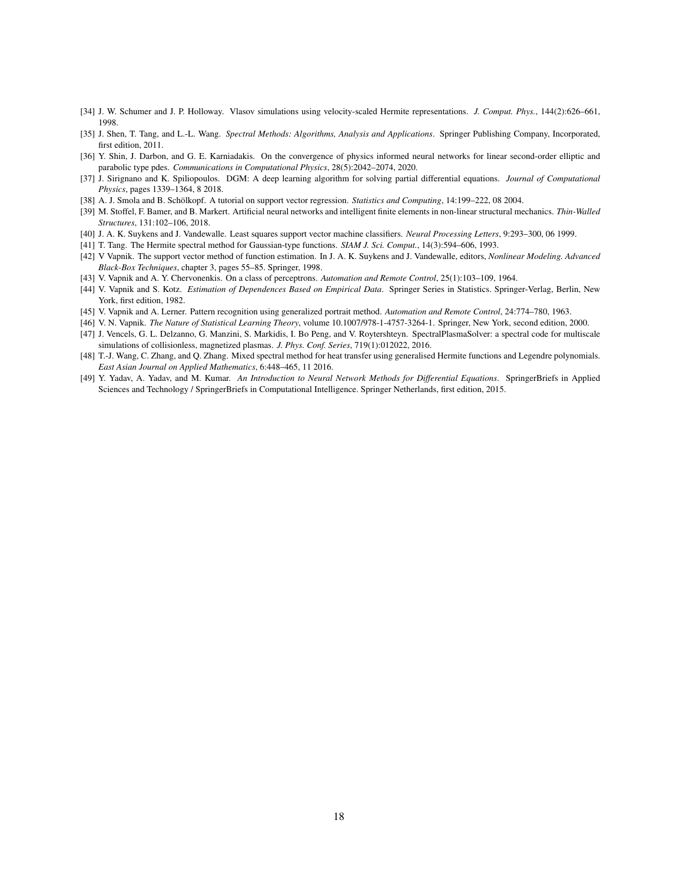- [34] J. W. Schumer and J. P. Holloway. Vlasov simulations using velocity-scaled Hermite representations. *J. Comput. Phys.*, 144(2):626–661, 1998.
- [35] J. Shen, T. Tang, and L.-L. Wang. *Spectral Methods: Algorithms, Analysis and Applications*. Springer Publishing Company, Incorporated, first edition, 2011.
- [36] Y. Shin, J. Darbon, and G. E. Karniadakis. On the convergence of physics informed neural networks for linear second-order elliptic and parabolic type pdes. *Communications in Computational Physics*, 28(5):2042–2074, 2020.
- [37] J. Sirignano and K. Spiliopoulos. DGM: A deep learning algorithm for solving partial differential equations. *Journal of Computational Physics*, pages 1339–1364, 8 2018.
- [38] A. J. Smola and B. Schölkopf. A tutorial on support vector regression. *Statistics and Computing*, 14:199–222, 08 2004.
- [39] M. Stoffel, F. Bamer, and B. Markert. Artificial neural networks and intelligent finite elements in non-linear structural mechanics. *Thin-Walled Structures*, 131:102–106, 2018.
- [40] J. A. K. Suykens and J. Vandewalle. Least squares support vector machine classifiers. *Neural Processing Letters*, 9:293–300, 06 1999.
- [41] T. Tang. The Hermite spectral method for Gaussian-type functions. *SIAM J. Sci. Comput.*, 14(3):594–606, 1993.
- [42] V Vapnik. The support vector method of function estimation. In J. A. K. Suykens and J. Vandewalle, editors, *Nonlinear Modeling. Advanced Black-Box Techniques*, chapter 3, pages 55–85. Springer, 1998.
- [43] V. Vapnik and A. Y. Chervonenkis. On a class of perceptrons. *Automation and Remote Control*, 25(1):103–109, 1964.
- [44] V. Vapnik and S. Kotz. *Estimation of Dependences Based on Empirical Data*. Springer Series in Statistics. Springer-Verlag, Berlin, New York, first edition, 1982.
- [45] V. Vapnik and A. Lerner. Pattern recognition using generalized portrait method. *Automation and Remote Control*, 24:774–780, 1963.
- [46] V. N. Vapnik. *The Nature of Statistical Learning Theory*, volume 10.1007/978-1-4757-3264-1. Springer, New York, second edition, 2000.
- [47] J. Vencels, G. L. Delzanno, G. Manzini, S. Markidis, I. Bo Peng, and V. Roytershteyn. SpectralPlasmaSolver: a spectral code for multiscale simulations of collisionless, magnetized plasmas. *J. Phys. Conf. Series*, 719(1):012022, 2016.
- [48] T.-J. Wang, C. Zhang, and Q. Zhang. Mixed spectral method for heat transfer using generalised Hermite functions and Legendre polynomials. *East Asian Journal on Applied Mathematics*, 6:448–465, 11 2016.
- [49] Y. Yadav, A. Yadav, and M. Kumar. *An Introduction to Neural Network Methods for Differential Equations*. SpringerBriefs in Applied Sciences and Technology / SpringerBriefs in Computational Intelligence. Springer Netherlands, first edition, 2015.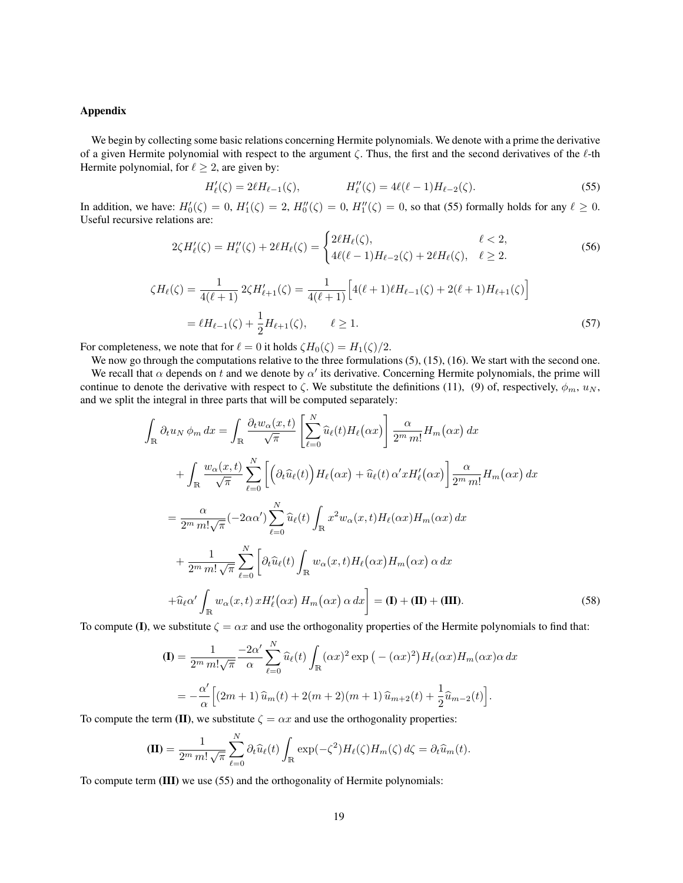# Appendix

We begin by collecting some basic relations concerning Hermite polynomials. We denote with a prime the derivative of a given Hermite polynomial with respect to the argument  $\zeta$ . Thus, the first and the second derivatives of the  $\ell$ -th Hermite polynomial, for  $\ell \geq 2$ , are given by:

$$
H'_{\ell}(\zeta) = 2\ell H_{\ell-1}(\zeta), \qquad H''_{\ell}(\zeta) = 4\ell(\ell-1)H_{\ell-2}(\zeta). \tag{55}
$$

In addition, we have:  $H'_0(\zeta) = 0$ ,  $H'_1(\zeta) = 2$ ,  $H''_0(\zeta) = 0$ ,  $H''_1(\zeta) = 0$ , so that (55) formally holds for any  $\ell \ge 0$ . Useful recursive relations are:

$$
2\zeta H_{\ell}'(\zeta) = H_{\ell}''(\zeta) + 2\ell H_{\ell}(\zeta) = \begin{cases} 2\ell H_{\ell}(\zeta), & \ell < 2, \\ 4\ell(\ell - 1)H_{\ell - 2}(\zeta) + 2\ell H_{\ell}(\zeta), & \ell \ge 2. \end{cases}
$$
(56)

$$
\zeta H_{\ell}(\zeta) = \frac{1}{4(\ell+1)} 2\zeta H'_{\ell+1}(\zeta) = \frac{1}{4(\ell+1)} \Big[ 4(\ell+1)\ell H_{\ell-1}(\zeta) + 2(\ell+1)H_{\ell+1}(\zeta) \Big]
$$
  
=  $\ell H_{\ell-1}(\zeta) + \frac{1}{2} H_{\ell+1}(\zeta), \qquad \ell \ge 1.$  (57)

For completeness, we note that for  $\ell = 0$  it holds  $\zeta H_0(\zeta) = H_1(\zeta)/2$ .

We now go through the computations relative to the three formulations  $(5)$ ,  $(15)$ ,  $(16)$ . We start with the second one. We recall that  $\alpha$  depends on t and we denote by  $\alpha'$  its derivative. Concerning Hermite polynomials, the prime will continue to denote the derivative with respect to  $\zeta$ . We substitute the definitions (11), (9) of, respectively,  $\phi_m$ ,  $u_N$ , and we split the integral in three parts that will be computed separately:

$$
\int_{\mathbb{R}} \partial_t u_N \phi_m dx = \int_{\mathbb{R}} \frac{\partial_t w_\alpha(x,t)}{\sqrt{\pi}} \left[ \sum_{\ell=0}^N \widehat{u}_\ell(t) H_\ell(\alpha x) \right] \frac{\alpha}{2^m m!} H_m(\alpha x) dx \n+ \int_{\mathbb{R}} \frac{w_\alpha(x,t)}{\sqrt{\pi}} \sum_{\ell=0}^N \left[ \left( \partial_t \widehat{u}_\ell(t) \right) H_\ell(\alpha x) + \widehat{u}_\ell(t) \alpha' x H'_\ell(\alpha x) \right] \frac{\alpha}{2^m m!} H_m(\alpha x) dx \n= \frac{\alpha}{2^m m! \sqrt{\pi}} (-2\alpha \alpha') \sum_{\ell=0}^N \widehat{u}_\ell(t) \int_{\mathbb{R}} x^2 w_\alpha(x,t) H_\ell(\alpha x) H_m(\alpha x) dx \n+ \frac{1}{2^m m! \sqrt{\pi}} \sum_{\ell=0}^N \left[ \partial_t \widehat{u}_\ell(t) \int_{\mathbb{R}} w_\alpha(x,t) H_\ell(\alpha x) H_m(\alpha x) \alpha dx \n+ \widehat{u}_\ell \alpha' \int_{\mathbb{R}} w_\alpha(x,t) x H'_\ell(\alpha x) H_m(\alpha x) \alpha dx \right] = (\mathbf{I}) + (\mathbf{II}) + (\mathbf{III}).
$$
\n(58)

To compute (I), we substitute  $\zeta = \alpha x$  and use the orthogonality properties of the Hermite polynomials to find that:

$$
\begin{split} \mathbf{(I)} &= \frac{1}{2^m \, m! \sqrt{\pi}} \frac{-2\alpha'}{\alpha} \sum_{\ell=0}^N \widehat{u}_{\ell}(t) \int_{\mathbb{R}} (\alpha x)^2 \exp\left(-(\alpha x)^2\right) H_{\ell}(\alpha x) H_m(\alpha x) \alpha \, dx \\ &= -\frac{\alpha'}{\alpha} \Big[ (2m+1) \,\widehat{u}_m(t) + 2(m+2)(m+1) \,\widehat{u}_{m+2}(t) + \frac{1}{2} \widehat{u}_{m-2}(t) \Big]. \end{split}
$$

To compute the term (II), we substitute  $\zeta = \alpha x$  and use the orthogonality properties:

$$
(\mathbf{II}) = \frac{1}{2^m m! \sqrt{\pi}} \sum_{\ell=0}^N \partial_t \widehat{u}_\ell(t) \int_{\mathbb{R}} \exp(-\zeta^2) H_\ell(\zeta) H_m(\zeta) d\zeta = \partial_t \widehat{u}_m(t).
$$

To compute term (III) we use (55) and the orthogonality of Hermite polynomials: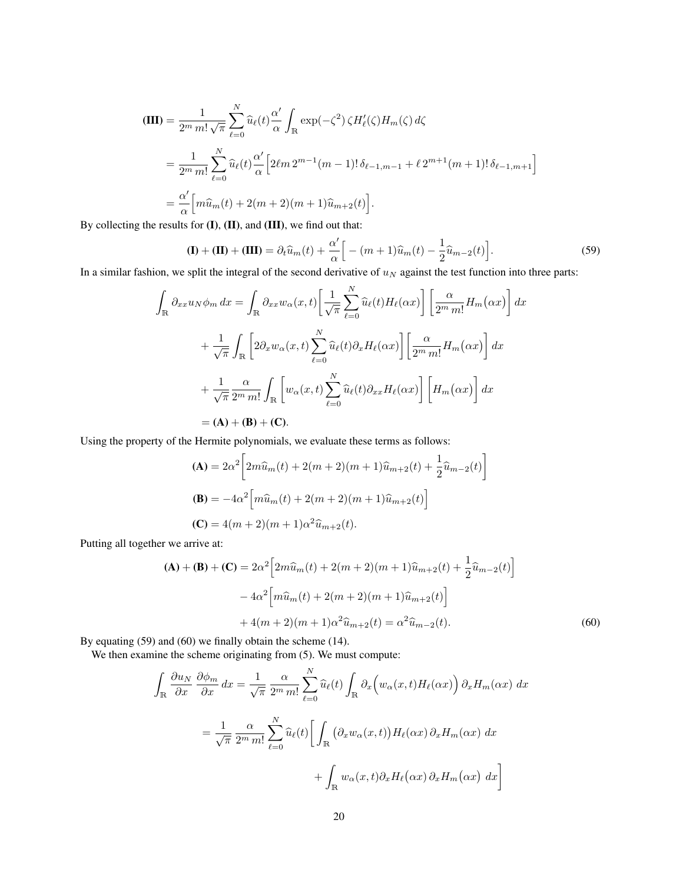$$
\begin{split} \textbf{(III)} &= \frac{1}{2^m \, m! \, \sqrt{\pi}} \sum_{\ell=0}^N \widehat{u}_{\ell}(t) \frac{\alpha'}{\alpha} \int_{\mathbb{R}} \exp(-\zeta^2) \, \zeta H_{\ell}'(\zeta) H_m(\zeta) \, d\zeta \\ &= \frac{1}{2^m \, m!} \sum_{\ell=0}^N \widehat{u}_{\ell}(t) \frac{\alpha'}{\alpha} \Big[ 2\ell m \, 2^{m-1} (m-1)! \, \delta_{\ell-1,m-1} + \ell \, 2^{m+1} (m+1)! \, \delta_{\ell-1,m+1} \Big] \\ &= \frac{\alpha'}{\alpha} \Big[ m \widehat{u}_m(t) + 2(m+2)(m+1) \widehat{u}_{m+2}(t) \Big]. \end{split}
$$

By collecting the results for (I), (II), and (III), we find out that:

$$
(\mathbf{I}) + (\mathbf{II}) + (\mathbf{III}) = \partial_t \widehat{u}_m(t) + \frac{\alpha'}{\alpha} \Big[ -(m+1)\widehat{u}_m(t) - \frac{1}{2} \widehat{u}_{m-2}(t) \Big]. \tag{59}
$$

In a similar fashion, we split the integral of the second derivative of  $u_N$  against the test function into three parts:

$$
\int_{\mathbb{R}} \partial_{xx} u_N \phi_m dx = \int_{\mathbb{R}} \partial_{xx} w_\alpha(x, t) \left[ \frac{1}{\sqrt{\pi}} \sum_{\ell=0}^N \widehat{u}_\ell(t) H_\ell(\alpha x) \right] \left[ \frac{\alpha}{2^m m!} H_m(\alpha x) \right] dx
$$

$$
+ \frac{1}{\sqrt{\pi}} \int_{\mathbb{R}} \left[ 2 \partial_x w_\alpha(x, t) \sum_{\ell=0}^N \widehat{u}_\ell(t) \partial_x H_\ell(\alpha x) \right] \left[ \frac{\alpha}{2^m m!} H_m(\alpha x) \right] dx
$$

$$
+ \frac{1}{\sqrt{\pi}} \frac{\alpha}{2^m m!} \int_{\mathbb{R}} \left[ w_\alpha(x, t) \sum_{\ell=0}^N \widehat{u}_\ell(t) \partial_{xx} H_\ell(\alpha x) \right] \left[ H_m(\alpha x) \right] dx
$$

$$
= (\mathbf{A}) + (\mathbf{B}) + (\mathbf{C}).
$$

Using the property of the Hermite polynomials, we evaluate these terms as follows:

$$
\begin{aligned} \n\textbf{(A)} &= 2\alpha^2 \bigg[ 2m\widehat{u}_m(t) + 2(m+2)(m+1)\widehat{u}_{m+2}(t) + \frac{1}{2}\widehat{u}_{m-2}(t) \bigg] \\ \n\textbf{(B)} &= -4\alpha^2 \bigg[ m\widehat{u}_m(t) + 2(m+2)(m+1)\widehat{u}_{m+2}(t) \bigg] \\ \n\textbf{(C)} &= 4(m+2)(m+1)\alpha^2 \widehat{u}_{m+2}(t). \n\end{aligned}
$$

Putting all together we arrive at:

$$
(\mathbf{A}) + (\mathbf{B}) + (\mathbf{C}) = 2\alpha^2 \left[ 2m\widehat{u}_m(t) + 2(m+2)(m+1)\widehat{u}_{m+2}(t) + \frac{1}{2}\widehat{u}_{m-2}(t) \right]
$$

$$
-4\alpha^2 \left[ m\widehat{u}_m(t) + 2(m+2)(m+1)\widehat{u}_{m+2}(t) \right]
$$

$$
+4(m+2)(m+1)\alpha^2 \widehat{u}_{m+2}(t) = \alpha^2 \widehat{u}_{m-2}(t).
$$
(60)

By equating (59) and (60) we finally obtain the scheme (14).

We then examine the scheme originating from (5). We must compute:

$$
\int_{\mathbb{R}} \frac{\partial u_N}{\partial x} \frac{\partial \phi_m}{\partial x} dx = \frac{1}{\sqrt{\pi}} \frac{\alpha}{2^m m!} \sum_{\ell=0}^N \widehat{u}_{\ell}(t) \int_{\mathbb{R}} \partial_x \Big( w_{\alpha}(x, t) H_{\ell}(\alpha x) \Big) \partial_x H_m(\alpha x) dx
$$

$$
= \frac{1}{\sqrt{\pi}} \frac{\alpha}{2^m m!} \sum_{\ell=0}^N \widehat{u}_{\ell}(t) \Big[ \int_{\mathbb{R}} \Big( \partial_x w_{\alpha}(x, t) \Big) H_{\ell}(\alpha x) \partial_x H_m(\alpha x) dx + \int_{\mathbb{R}} w_{\alpha}(x, t) \partial_x H_{\ell}(\alpha x) \partial_x H_m(\alpha x) dx \Big]
$$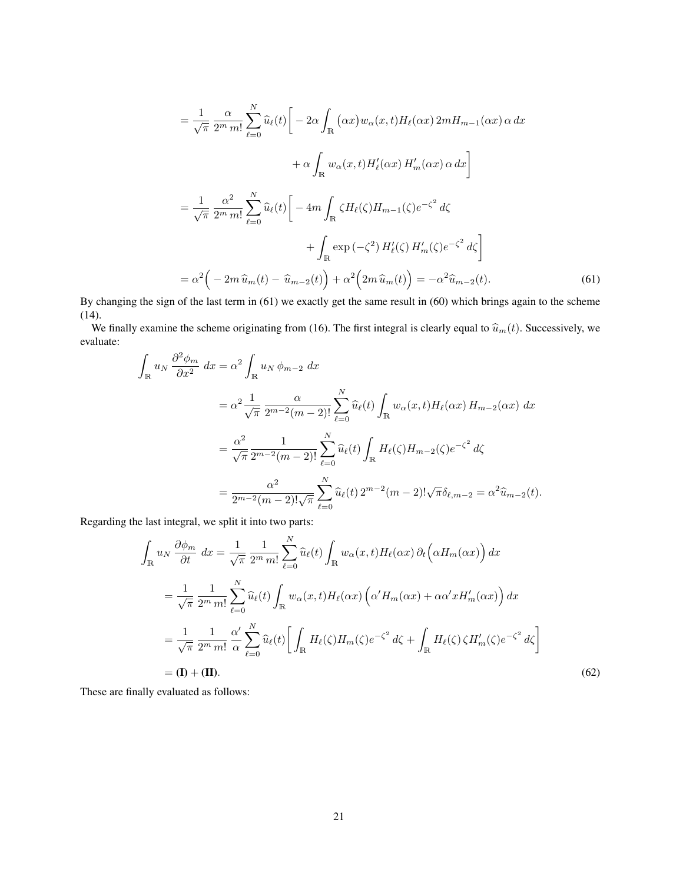$$
= \frac{1}{\sqrt{\pi}} \frac{\alpha}{2^m m!} \sum_{\ell=0}^N \widehat{u}_{\ell}(t) \Big[ -2\alpha \int_{\mathbb{R}} (\alpha x) w_{\alpha}(x, t) H_{\ell}(\alpha x) 2m H_{m-1}(\alpha x) \alpha dx
$$

$$
+ \alpha \int_{\mathbb{R}} w_{\alpha}(x, t) H'_{\ell}(\alpha x) H'_{m}(\alpha x) \alpha dx \Big]
$$

$$
= \frac{1}{\sqrt{\pi}} \frac{\alpha^2}{2^m m!} \sum_{\ell=0}^N \widehat{u}_{\ell}(t) \Big[ -4m \int_{\mathbb{R}} \zeta H_{\ell}(\zeta) H_{m-1}(\zeta) e^{-\zeta^2} d\zeta
$$

$$
+ \int_{\mathbb{R}} \exp(-\zeta^2) H'_{\ell}(\zeta) H'_{m}(\zeta) e^{-\zeta^2} d\zeta \Big]
$$

$$
= \alpha^2 \Big( -2m \widehat{u}_{m}(t) - \widehat{u}_{m-2}(t) \Big) + \alpha^2 \Big( 2m \widehat{u}_{m}(t) \Big) = -\alpha^2 \widehat{u}_{m-2}(t). \tag{61}
$$

By changing the sign of the last term in (61) we exactly get the same result in (60) which brings again to the scheme (14).

We finally examine the scheme originating from (16). The first integral is clearly equal to  $\hat{u}_m(t)$ . Successively, we evaluate:

$$
\int_{\mathbb{R}} u_N \frac{\partial^2 \phi_m}{\partial x^2} dx = \alpha^2 \int_{\mathbb{R}} u_N \phi_{m-2} dx
$$
  
\n
$$
= \alpha^2 \frac{1}{\sqrt{\pi}} \frac{\alpha}{2^{m-2}(m-2)!} \sum_{\ell=0}^N \widehat{u}_{\ell}(t) \int_{\mathbb{R}} w_{\alpha}(x,t) H_{\ell}(\alpha x) H_{m-2}(\alpha x) dx
$$
  
\n
$$
= \frac{\alpha^2}{\sqrt{\pi}} \frac{1}{2^{m-2}(m-2)!} \sum_{\ell=0}^N \widehat{u}_{\ell}(t) \int_{\mathbb{R}} H_{\ell}(\zeta) H_{m-2}(\zeta) e^{-\zeta^2} d\zeta
$$
  
\n
$$
= \frac{\alpha^2}{2^{m-2}(m-2)!} \sum_{\ell=0}^N \widehat{u}_{\ell}(t) 2^{m-2}(m-2)! \sqrt{\pi} \delta_{\ell,m-2} = \alpha^2 \widehat{u}_{m-2}(t).
$$

Regarding the last integral, we split it into two parts:

$$
\int_{\mathbb{R}} u_N \frac{\partial \phi_m}{\partial t} dx = \frac{1}{\sqrt{\pi}} \frac{1}{2^m m!} \sum_{\ell=0}^N \widehat{u}_{\ell}(t) \int_{\mathbb{R}} w_{\alpha}(x, t) H_{\ell}(\alpha x) \partial_t \left(\alpha H_m(\alpha x)\right) dx
$$

$$
= \frac{1}{\sqrt{\pi}} \frac{1}{2^m m!} \sum_{\ell=0}^N \widehat{u}_{\ell}(t) \int_{\mathbb{R}} w_{\alpha}(x, t) H_{\ell}(\alpha x) \left(\alpha' H_m(\alpha x) + \alpha \alpha' x H'_m(\alpha x)\right) dx
$$

$$
= \frac{1}{\sqrt{\pi}} \frac{1}{2^m m!} \frac{\alpha'}{\alpha} \sum_{\ell=0}^N \widehat{u}_{\ell}(t) \left[ \int_{\mathbb{R}} H_{\ell}(\zeta) H_m(\zeta) e^{-\zeta^2} d\zeta + \int_{\mathbb{R}} H_{\ell}(\zeta) \zeta H'_m(\zeta) e^{-\zeta^2} d\zeta \right]
$$

$$
= (\mathbf{I}) + (\mathbf{II}). \tag{62}
$$

These are finally evaluated as follows: